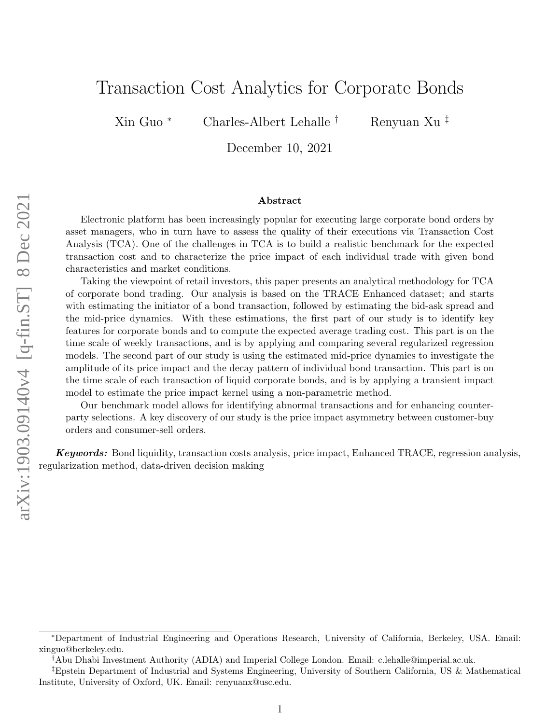# Transaction Cost Analytics for Corporate Bonds

Xin Guo <sup>∗</sup> Charles-Albert Lehalle † Renyuan Xu ‡

December 10, 2021

#### Abstract

Electronic platform has been increasingly popular for executing large corporate bond orders by asset managers, who in turn have to assess the quality of their executions via Transaction Cost Analysis (TCA). One of the challenges in TCA is to build a realistic benchmark for the expected transaction cost and to characterize the price impact of each individual trade with given bond characteristics and market conditions.

Taking the viewpoint of retail investors, this paper presents an analytical methodology for TCA of corporate bond trading. Our analysis is based on the TRACE Enhanced dataset; and starts with estimating the initiator of a bond transaction, followed by estimating the bid-ask spread and the mid-price dynamics. With these estimations, the first part of our study is to identify key features for corporate bonds and to compute the expected average trading cost. This part is on the time scale of weekly transactions, and is by applying and comparing several regularized regression models. The second part of our study is using the estimated mid-price dynamics to investigate the amplitude of its price impact and the decay pattern of individual bond transaction. This part is on the time scale of each transaction of liquid corporate bonds, and is by applying a transient impact model to estimate the price impact kernel using a non-parametric method.

Our benchmark model allows for identifying abnormal transactions and for enhancing counterparty selections. A key discovery of our study is the price impact asymmetry between customer-buy orders and consumer-sell orders.

**Keywords:** Bond liquidity, transaction costs analysis, price impact, Enhanced TRACE, regression analysis, regularization method, data-driven decision making

<sup>∗</sup>Department of Industrial Engineering and Operations Research, University of California, Berkeley, USA. Email: xinguo@berkeley.edu.

<sup>†</sup>Abu Dhabi Investment Authority (ADIA) and Imperial College London. Email: c.lehalle@imperial.ac.uk.

<sup>‡</sup>Epstein Department of Industrial and Systems Engineering, University of Southern California, US & Mathematical Institute, University of Oxford, UK. Email: renyuanx@usc.edu.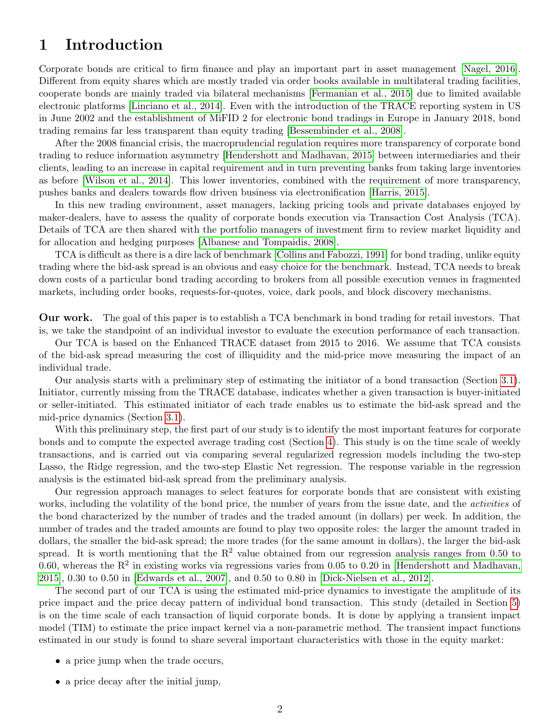## <span id="page-1-0"></span>1 Introduction

Corporate bonds are critical to firm finance and play an important part in asset management [\[Nagel, 2016\]](#page-27-0). Different from equity shares which are mostly traded via order books available in multilateral trading facilities, cooperate bonds are mainly traded via bilateral mechanisms [\[Fermanian et al., 2015\]](#page-27-1) due to limited available electronic platforms [\[Linciano et al., 2014\]](#page-27-2). Even with the introduction of the TRACE reporting system in US in June 2002 and the establishment of MiFID 2 for electronic bond tradings in Europe in January 2018, bond trading remains far less transparent than equity trading [\[Bessembinder et al., 2008\]](#page-26-0).

After the 2008 financial crisis, the macroprudencial regulation requires more transparency of corporate bond trading to reduce information asymmetry [\[Hendershott and Madhavan, 2015\]](#page-27-3) between intermediaries and their clients, leading to an increase in capital requirement and in turn preventing banks from taking large inventories as before [\[Wilson et al., 2014\]](#page-28-0). This lower inventories, combined with the requirement of more transparency, pushes banks and dealers towards flow driven business via electronification [\[Harris, 2015\]](#page-27-4).

In this new trading environment, asset managers, lacking pricing tools and private databases enjoyed by maker-dealers, have to assess the quality of corporate bonds execution via Transaction Cost Analysis (TCA). Details of TCA are then shared with the portfolio managers of investment firm to review market liquidity and for allocation and hedging purposes [\[Albanese and Tompaidis, 2008\]](#page-26-1).

TCA is difficult as there is a dire lack of benchmark [\[Collins and Fabozzi, 1991\]](#page-26-2) for bond trading, unlike equity trading where the bid-ask spread is an obvious and easy choice for the benchmark. Instead, TCA needs to break down costs of a particular bond trading according to brokers from all possible execution venues in fragmented markets, including order books, requests-for-quotes, voice, dark pools, and block discovery mechanisms.

Our work. The goal of this paper is to establish a TCA benchmark in bond trading for retail investors. That is, we take the standpoint of an individual investor to evaluate the execution performance of each transaction.

Our TCA is based on the Enhanced TRACE dataset from 2015 to 2016. We assume that TCA consists of the bid-ask spread measuring the cost of illiquidity and the mid-price move measuring the impact of an individual trade.

Our analysis starts with a preliminary step of estimating the initiator of a bond transaction (Section [3.1\)](#page-5-0). Initiator, currently missing from the TRACE database, indicates whether a given transaction is buyer-initiated or seller-initiated. This estimated initiator of each trade enables us to estimate the bid-ask spread and the mid-price dynamics (Section [3.1\)](#page-5-0).

With this preliminary step, the first part of our study is to identify the most important features for corporate bonds and to compute the expected average trading cost (Section [4\)](#page-8-0). This study is on the time scale of weekly transactions, and is carried out via comparing several regularized regression models including the two-step Lasso, the Ridge regression, and the two-step Elastic Net regression. The response variable in the regression analysis is the estimated bid-ask spread from the preliminary analysis.

Our regression approach manages to select features for corporate bonds that are consistent with existing works, including the volatility of the bond price, the number of years from the issue date, and the *activities* of the bond characterized by the number of trades and the traded amount (in dollars) per week. In addition, the number of trades and the traded amounts are found to play two opposite roles: the larger the amount traded in dollars, the smaller the bid-ask spread; the more trades (for the same amount in dollars), the larger the bid-ask spread. It is worth mentioning that the  $R^2$  value obtained from our regression analysis ranges from 0.50 to 0.60, whereas the  $R^2$  in existing works via regressions varies from 0.05 to 0.20 in [\[Hendershott and Madhavan,](#page-27-3) [2015\]](#page-27-3), 0.30 to 0.50 in [\[Edwards et al., 2007\]](#page-26-3), and 0.50 to 0.80 in [\[Dick-Nielsen et al., 2012\]](#page-26-4).

The second part of our TCA is using the estimated mid-price dynamics to investigate the amplitude of its price impact and the price decay pattern of individual bond transaction. This study (detailed in Section [5\)](#page-16-0) is on the time scale of each transaction of liquid corporate bonds. It is done by applying a transient impact model (TIM) to estimate the price impact kernel via a non-parametric method. The transient impact functions estimated in our study is found to share several important characteristics with those in the equity market:

- a price jump when the trade occurs,
- a price decay after the initial jump,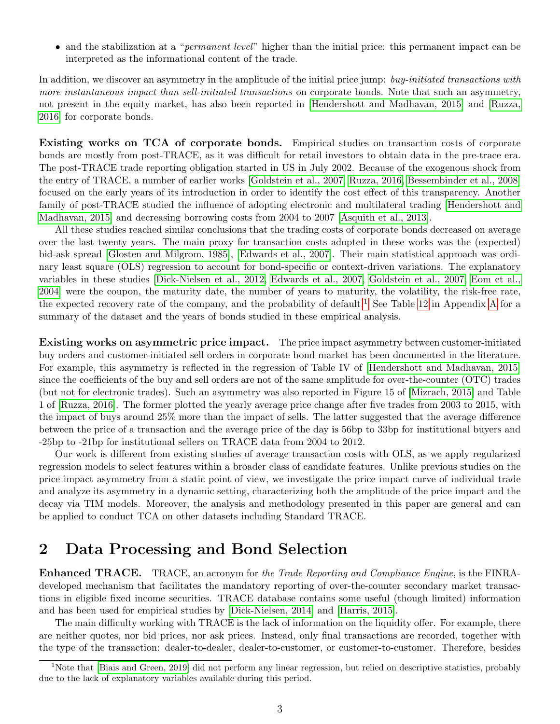• and the stabilization at a "*permanent level*" higher than the initial price: this permanent impact can be interpreted as the informational content of the trade.

In addition, we discover an asymmetry in the amplitude of the initial price jump: buy-initiated transactions with more instantaneous impact than sell-initiated transactions on corporate bonds. Note that such an asymmetry, not present in the equity market, has also been reported in [\[Hendershott and Madhavan, 2015\]](#page-27-3) and [\[Ruzza,](#page-28-1) [2016\]](#page-28-1) for corporate bonds.

Existing works on TCA of corporate bonds. Empirical studies on transaction costs of corporate bonds are mostly from post-TRACE, as it was difficult for retail investors to obtain data in the pre-trace era. The post-TRACE trade reporting obligation started in US in July 2002. Because of the exogenous shock from the entry of TRACE, a number of earlier works [\[Goldstein et al., 2007,](#page-27-5) [Ruzza, 2016,](#page-28-1) [Bessembinder et al., 2008\]](#page-26-0) focused on the early years of its introduction in order to identify the cost effect of this transparency. Another family of post-TRACE studied the influence of adopting electronic and multilateral trading [\[Hendershott and](#page-27-3) [Madhavan, 2015\]](#page-27-3) and decreasing borrowing costs from 2004 to 2007 [\[Asquith et al., 2013\]](#page-26-5).

All these studies reached similar conclusions that the trading costs of corporate bonds decreased on average over the last twenty years. The main proxy for transaction costs adopted in these works was the (expected) bid-ask spread [\[Glosten and Milgrom, 1985\]](#page-27-6), [\[Edwards et al., 2007\]](#page-26-3). Their main statistical approach was ordinary least square (OLS) regression to account for bond-specific or context-driven variations. The explanatory variables in these studies [\[Dick-Nielsen et al., 2012,](#page-26-4) [Edwards et al., 2007,](#page-26-3) [Goldstein et al., 2007,](#page-27-5) [Eom et al.,](#page-27-7) [2004\]](#page-27-7) were the coupon, the maturity date, the number of years to maturity, the volatility, the risk-free rate, the expected recovery rate of the company, and the probability of default.<sup>[1](#page-2-0)</sup> See Table [12](#page-29-0) in [A](#page-29-1)ppendix A for a summary of the dataset and the years of bonds studied in these empirical analysis.

Existing works on asymmetric price impact. The price impact asymmetry between customer-initiated buy orders and customer-initiated sell orders in corporate bond market has been documented in the literature. For example, this asymmetry is reflected in the regression of Table IV of [\[Hendershott and Madhavan, 2015\]](#page-27-3) since the coefficients of the buy and sell orders are not of the same amplitude for over-the-counter (OTC) trades (but not for electronic trades). Such an asymmetry was also reported in Figure 15 of [\[Mizrach, 2015\]](#page-27-8) and Table 1 of [\[Ruzza, 2016\]](#page-28-1). The former plotted the yearly average price change after five trades from 2003 to 2015, with the impact of buys around 25% more than the impact of sells. The latter suggested that the average difference between the price of a transaction and the average price of the day is 56bp to 33bp for institutional buyers and -25bp to -21bp for institutional sellers on TRACE data from 2004 to 2012.

Our work is different from existing studies of average transaction costs with OLS, as we apply regularized regression models to select features within a broader class of candidate features. Unlike previous studies on the price impact asymmetry from a static point of view, we investigate the price impact curve of individual trade and analyze its asymmetry in a dynamic setting, characterizing both the amplitude of the price impact and the decay via TIM models. Moreover, the analysis and methodology presented in this paper are general and can be applied to conduct TCA on other datasets including Standard TRACE.

## <span id="page-2-1"></span>2 Data Processing and Bond Selection

Enhanced TRACE. TRACE, an acronym for the Trade Reporting and Compliance Engine, is the FINRAdeveloped mechanism that facilitates the mandatory reporting of over-the-counter secondary market transactions in eligible fixed income securities. TRACE database contains some useful (though limited) information and has been used for empirical studies by [\[Dick-Nielsen, 2014\]](#page-26-6) and [\[Harris, 2015\]](#page-27-4).

The main difficulty working with TRACE is the lack of information on the liquidity offer. For example, there are neither quotes, nor bid prices, nor ask prices. Instead, only final transactions are recorded, together with the type of the transaction: dealer-to-dealer, dealer-to-customer, or customer-to-customer. Therefore, besides

<span id="page-2-0"></span><sup>&</sup>lt;sup>1</sup>Note that [\[Biais and Green, 2019\]](#page-26-7) did not perform any linear regression, but relied on descriptive statistics, probably due to the lack of explanatory variables available during this period.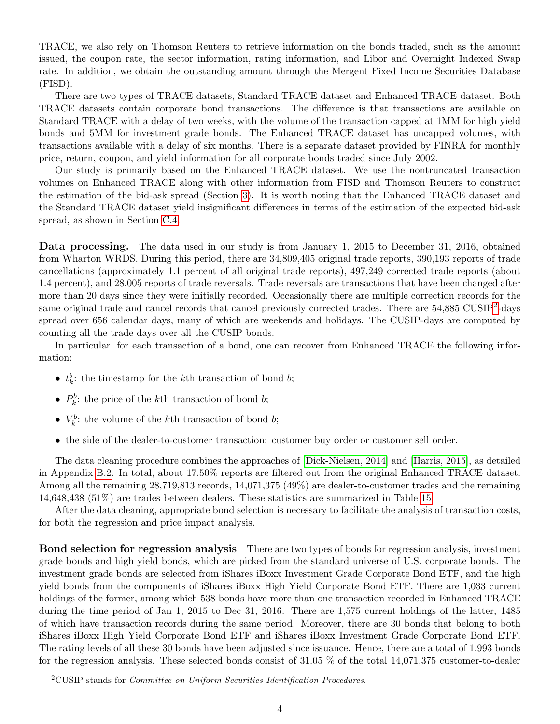TRACE, we also rely on Thomson Reuters to retrieve information on the bonds traded, such as the amount issued, the coupon rate, the sector information, rating information, and Libor and Overnight Indexed Swap rate. In addition, we obtain the outstanding amount through the Mergent Fixed Income Securities Database (FISD).

There are two types of TRACE datasets, Standard TRACE dataset and Enhanced TRACE dataset. Both TRACE datasets contain corporate bond transactions. The difference is that transactions are available on Standard TRACE with a delay of two weeks, with the volume of the transaction capped at 1MM for high yield bonds and 5MM for investment grade bonds. The Enhanced TRACE dataset has uncapped volumes, with transactions available with a delay of six months. There is a separate dataset provided by FINRA for monthly price, return, coupon, and yield information for all corporate bonds traded since July 2002.

Our study is primarily based on the Enhanced TRACE dataset. We use the nontruncated transaction volumes on Enhanced TRACE along with other information from FISD and Thomson Reuters to construct the estimation of the bid-ask spread (Section [3\)](#page-4-0). It is worth noting that the Enhanced TRACE dataset and the Standard TRACE dataset yield insignificant differences in terms of the estimation of the expected bid-ask spread, as shown in Section [C.4.](#page-35-0)

Data processing. The data used in our study is from January 1, 2015 to December 31, 2016, obtained from Wharton WRDS. During this period, there are 34,809,405 original trade reports, 390,193 reports of trade cancellations (approximately 1.1 percent of all original trade reports), 497,249 corrected trade reports (about 1.4 percent), and 28,005 reports of trade reversals. Trade reversals are transactions that have been changed after more than 20 days since they were initially recorded. Occasionally there are multiple correction records for the same original trade and cancel records that cancel previously corrected trades. There are  $54,885$  CUSIP<sup>[2](#page-3-0)</sup>-days spread over 656 calendar days, many of which are weekends and holidays. The CUSIP-days are computed by counting all the trade days over all the CUSIP bonds.

In particular, for each transaction of a bond, one can recover from Enhanced TRACE the following information:

- $t_k^b$ : the timestamp for the k<sup>th</sup> transaction of bond *b*;
- $P_k^b$ : the price of the k<sup>th</sup> transaction of bond *b*;
- $V_k^b$ : the volume of the k<sup>th</sup> transaction of bond *b*;
- the side of the dealer-to-customer transaction: customer buy order or customer sell order.

The data cleaning procedure combines the approaches of [\[Dick-Nielsen, 2014\]](#page-26-6) and [\[Harris, 2015\]](#page-27-4), as detailed in Appendix [B.2.](#page-30-0) In total, about 17.50% reports are filtered out from the original Enhanced TRACE dataset. Among all the remaining 28,719,813 records, 14,071,375 (49%) are dealer-to-customer trades and the remaining 14,648,438 (51%) are trades between dealers. These statistics are summarized in Table [15.](#page-31-0)

After the data cleaning, appropriate bond selection is necessary to facilitate the analysis of transaction costs, for both the regression and price impact analysis.

<span id="page-3-1"></span>Bond selection for regression analysis There are two types of bonds for regression analysis, investment grade bonds and high yield bonds, which are picked from the standard universe of U.S. corporate bonds. The investment grade bonds are selected from iShares iBoxx Investment Grade Corporate Bond ETF, and the high yield bonds from the components of iShares iBoxx High Yield Corporate Bond ETF. There are 1,033 current holdings of the former, among which 538 bonds have more than one transaction recorded in Enhanced TRACE during the time period of Jan 1, 2015 to Dec 31, 2016. There are 1,575 current holdings of the latter, 1485 of which have transaction records during the same period. Moreover, there are 30 bonds that belong to both iShares iBoxx High Yield Corporate Bond ETF and iShares iBoxx Investment Grade Corporate Bond ETF. The rating levels of all these 30 bonds have been adjusted since issuance. Hence, there are a total of 1,993 bonds for the regression analysis. These selected bonds consist of 31.05 % of the total 14,071,375 customer-to-dealer

<span id="page-3-0"></span><sup>&</sup>lt;sup>2</sup>CUSIP stands for *Committee on Uniform Securities Identification Procedures*.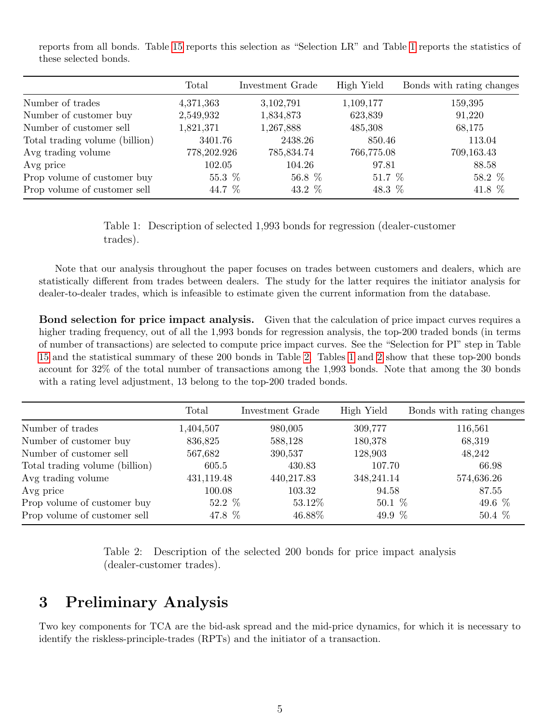reports from all bonds. Table [15](#page-31-0) reports this selection as "Selection LR" and Table [1](#page-4-1) reports the statistics of these selected bonds.

<span id="page-4-1"></span>

|                                | Total       | Investment Grade | High Yield | Bonds with rating changes |
|--------------------------------|-------------|------------------|------------|---------------------------|
| Number of trades               | 4,371,363   | 3,102,791        | 1,109,177  | 159,395                   |
| Number of customer buy         | 2,549,932   | 1,834,873        | 623,839    | 91,220                    |
| Number of customer sell        | 1,821,371   | 1,267,888        | 485,308    | 68,175                    |
| Total trading volume (billion) | 3401.76     | 2438.26          | 850.46     | 113.04                    |
| Avg trading volume             | 778,202.926 | 785,834.74       | 766,775.08 | 709,163.43                |
| Avg price                      | 102.05      | 104.26           | 97.81      | 88.58                     |
| Prop volume of customer buy    | 55.3 %      | 56.8 %           | 51.7 $%$   | 58.2 %                    |
| Prop volume of customer sell   | 44.7 %      | 43.2 %           | 48.3 \%    | 41.8 %                    |

Table 1: Description of selected 1,993 bonds for regression (dealer-customer trades).

Note that our analysis throughout the paper focuses on trades between customers and dealers, which are statistically different from trades between dealers. The study for the latter requires the initiator analysis for dealer-to-dealer trades, which is infeasible to estimate given the current information from the database.

<span id="page-4-3"></span>Bond selection for price impact analysis. Given that the calculation of price impact curves requires a higher trading frequency, out of all the 1,993 bonds for regression analysis, the top-200 traded bonds (in terms of number of transactions) are selected to compute price impact curves. See the "Selection for PI" step in Table [15](#page-31-0) and the statistical summary of these 200 bonds in Table [2.](#page-4-2) Tables [1](#page-4-1) and [2](#page-4-2) show that these top-200 bonds account for 32% of the total number of transactions among the 1,993 bonds. Note that among the 30 bonds with a rating level adjustment, 13 belong to the top-200 traded bonds.

<span id="page-4-2"></span>

|                                | Total      | Investment Grade | High Yield | Bonds with rating changes |
|--------------------------------|------------|------------------|------------|---------------------------|
| Number of trades               | 1,404,507  | 980,005          | 309,777    | 116,561                   |
| Number of customer buy         | 836,825    | 588,128          | 180,378    | 68,319                    |
| Number of customer sell        | 567,682    | 390,537          | 128,903    | 48,242                    |
| Total trading volume (billion) | 605.5      | 430.83           | 107.70     | 66.98                     |
| Avg trading volume             | 431,119.48 | 440,217.83       | 348,241.14 | 574,636.26                |
| Avg price                      | 100.08     | 103.32           | 94.58      | 87.55                     |
| Prop volume of customer buy    | 52.2 $%$   | 53.12\%          | $50.1~\%$  | 49.6 %                    |
| Prop volume of customer sell   | 47.8 %     | 46.88%           | 49.9 $%$   | 50.4 %                    |

Table 2: Description of the selected 200 bonds for price impact analysis (dealer-customer trades).

## <span id="page-4-0"></span>3 Preliminary Analysis

Two key components for TCA are the bid-ask spread and the mid-price dynamics, for which it is necessary to identify the riskless-principle-trades (RPTs) and the initiator of a transaction.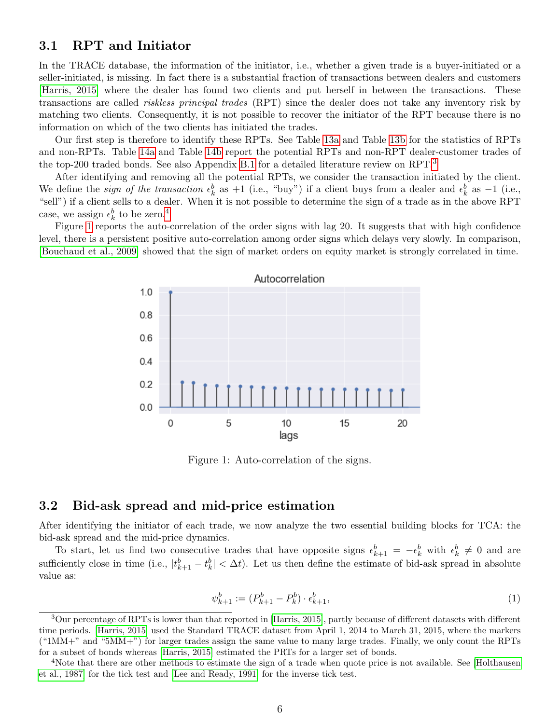### <span id="page-5-0"></span>3.1 RPT and Initiator

In the TRACE database, the information of the initiator, i.e., whether a given trade is a buyer-initiated or a seller-initiated, is missing. In fact there is a substantial fraction of transactions between dealers and customers [\[Harris, 2015\]](#page-27-4) where the dealer has found two clients and put herself in between the transactions. These transactions are called riskless principal trades (RPT) since the dealer does not take any inventory risk by matching two clients. Consequently, it is not possible to recover the initiator of the RPT because there is no information on which of the two clients has initiated the trades.

Our first step is therefore to identify these RPTs. See Table [13a](#page-30-1) and Table [13b](#page-30-1) for the statistics of RPTs and non-RPTs. Table [14a](#page-30-2) and Table [14b](#page-30-2) report the potential RPTs and non-RPT dealer-customer trades of the top-200 traded bonds. See also Appendix [B.1](#page-29-2) for a detailed literature review on RPT.<sup>[3](#page-5-1)</sup>

After identifying and removing all the potential RPTs, we consider the transaction initiated by the client. We define the *sign of the transaction*  $\epsilon_k^b$  as  $+1$  (i.e., "buy") if a client buys from a dealer and  $\epsilon_k^b$  as  $-1$  (i.e., "sell") if a client sells to a dealer. When it is not possible to determine the sign of a trade as in the above RPT case, we assign  $\epsilon_k^b$  to be zero.<sup>[4](#page-5-2)</sup>

<span id="page-5-3"></span>Figure [1](#page-5-3) reports the auto-correlation of the order signs with lag 20. It suggests that with high confidence level, there is a persistent positive auto-correlation among order signs which delays very slowly. In comparison, [\[Bouchaud et al., 2009\]](#page-26-8) showed that the sign of market orders on equity market is strongly correlated in time.



Figure 1: Auto-correlation of the signs.

#### 3.2 Bid-ask spread and mid-price estimation

After identifying the initiator of each trade, we now analyze the two essential building blocks for TCA: the bid-ask spread and the mid-price dynamics.

To start, let us find two consecutive trades that have opposite signs  $\epsilon_{k+1}^b = -\epsilon_k^b$  with  $\epsilon_k^b \neq 0$  and are sufficiently close in time (i.e.,  $|t_{k+1}^b - t_k^b| < \Delta t$ ). Let us then define the estimate of bid-ask spread in absolute value as:

$$
\psi_{k+1}^b := (P_{k+1}^b - P_k^b) \cdot \epsilon_{k+1}^b,\tag{1}
$$

<span id="page-5-1"></span><sup>3</sup>Our percentage of RPTs is lower than that reported in [\[Harris, 2015\]](#page-27-4), partly because of different datasets with different time periods. [\[Harris, 2015\]](#page-27-4) used the Standard TRACE dataset from April 1, 2014 to March 31, 2015, where the markers  $($ "1MM+" and "5MM+") for larger trades assign the same value to many large trades. Finally, we only count the RPTs for a subset of bonds whereas [\[Harris, 2015\]](#page-27-4) estimated the PRTs for a larger set of bonds.

<span id="page-5-2"></span><sup>4</sup>Note that there are other methods to estimate the sign of a trade when quote price is not available. See [\[Holthausen](#page-27-9) [et al., 1987\]](#page-27-9) for the tick test and [\[Lee and Ready, 1991\]](#page-27-10) for the inverse tick test.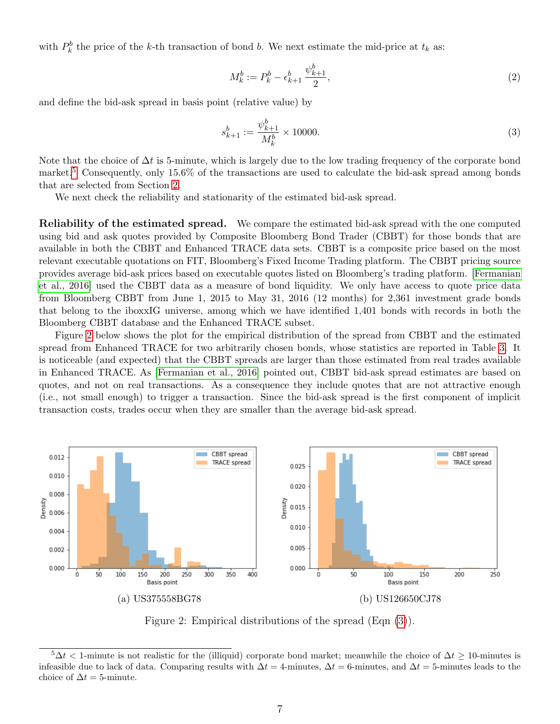with  $P_k^b$  the price of the k-th transaction of bond b. We next estimate the mid-price at  $t_k$  as:

$$
M_k^b := P_k^b - \epsilon_{k+1}^b \frac{\psi_{k+1}^b}{2},\tag{2}
$$

and define the bid-ask spread in basis point (relative value) by

<span id="page-6-2"></span>
$$
s_{k+1}^b := \frac{\psi_{k+1}^b}{M_k^b} \times 10000.
$$
 (3)

Note that the choice of  $\Delta t$  is 5-minute, which is largely due to the low trading frequency of the corporate bond market.<sup>[5](#page-6-0)</sup> Consequently, only 15.6% of the transactions are used to calculate the bid-ask spread among bonds that are selected from Section [2.](#page-3-1)

We next check the reliability and stationarity of the estimated bid-ask spread.

Reliability of the estimated spread. We compare the estimated bid-ask spread with the one computed using bid and ask quotes provided by Composite Bloomberg Bond Trader (CBBT) for those bonds that are available in both the CBBT and Enhanced TRACE data sets. CBBT is a composite price based on the most relevant executable quotations on FIT, Bloomberg's Fixed Income Trading platform. The CBBT pricing source provides average bid-ask prices based on executable quotes listed on Bloomberg's trading platform. [\[Fermanian](#page-27-11) [et al., 2016\]](#page-27-11) used the CBBT data as a measure of bond liquidity. We only have access to quote price data from Bloomberg CBBT from June 1, 2015 to May 31, 2016 (12 months) for 2,361 investment grade bonds that belong to the iboxxIG universe, among which we have identified 1,401 bonds with records in both the Bloomberg CBBT database and the Enhanced TRACE subset.

Figure [2](#page-6-1) below shows the plot for the empirical distribution of the spread from CBBT and the estimated spread from Enhanced TRACE for two arbitrarily chosen bonds, whose statistics are reported in Table [3.](#page-7-0) It is noticeable (and expected) that the CBBT spreads are larger than those estimated from real trades available in Enhanced TRACE. As [\[Fermanian et al., 2016\]](#page-27-11) pointed out, CBBT bid-ask spread estimates are based on quotes, and not on real transactions. As a consequence they include quotes that are not attractive enough (i.e., not small enough) to trigger a transaction. Since the bid-ask spread is the first component of implicit transaction costs, trades occur when they are smaller than the average bid-ask spread.

<span id="page-6-1"></span>

Figure 2: Empirical distributions of the spread (Eqn [\(3\)](#page-6-2)).

<span id="page-6-0"></span> $5\Delta t < 1$ -minute is not realistic for the (illiquid) corporate bond market; meanwhile the choice of  $\Delta t \geq 10$ -minutes is infeasible due to lack of data. Comparing results with  $\Delta t = 4$ -minutes,  $\Delta t = 6$ -minutes, and  $\Delta t = 5$ -minutes leads to the choice of  $\Delta t = 5$ -minute.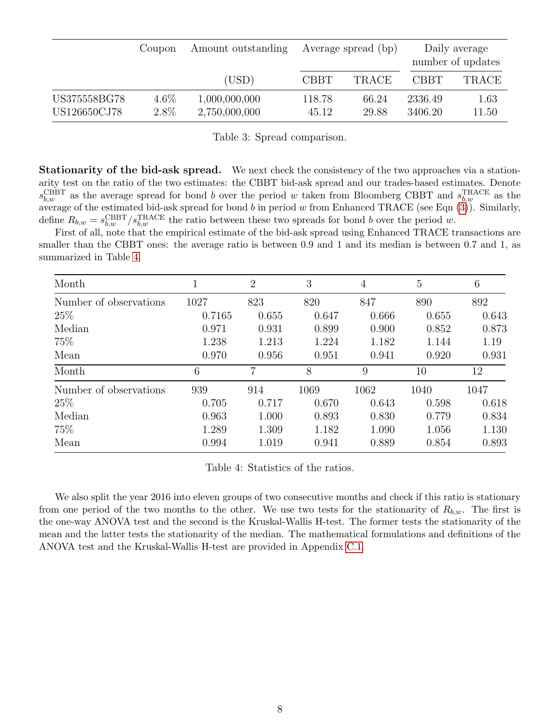<span id="page-7-0"></span>

|              | Coupon  | Amount outstanding | Average spread (bp) |              | Daily average<br>number of updates |              |
|--------------|---------|--------------------|---------------------|--------------|------------------------------------|--------------|
|              |         | (USD)              | <b>CBBT</b>         | <b>TRACE</b> | <b>CBBT</b>                        | <b>TRACE</b> |
| US375558BG78 | $4.6\%$ | 1,000,000,000      | 118.78              | 66.24        | 2336.49                            | 1.63         |
| US126650CJ78 | $2.8\%$ | 2,750,000,000      | 45.12               | 29.88        | 3406.20                            | 11.50        |

Table 3: Spread comparison.

Stationarity of the bid-ask spread. We next check the consistency of the two approaches via a stationarity test on the ratio of the two estimates: the CBBT bid-ask spread and our trades-based estimates. Denote  $s_{b,w}^{\text{CBBT}}$  as the average spread for bond b over the period w taken from Bloomberg CBBT and  $s_{b,w}^{\text{TRACE}}$  as the average of the estimated bid-ask spread for bond b in period w from Enhanced TRACE (see Eqn  $(3)$ ). Similarly, define  $R_{b,w} = s_{b,w}^{\text{CBBT}}/s_{b,w}^{\text{TRACE}}$  the ratio between these two spreads for bond b over the period w.

First of all, note that the empirical estimate of the bid-ask spread using Enhanced TRACE transactions are smaller than the CBBT ones: the average ratio is between 0.9 and 1 and its median is between 0.7 and 1, as summarized in Table [4.](#page-7-1)

<span id="page-7-1"></span>

| Month                  |        | $\overline{2}$ | 3     | 4     | $\overline{5}$ | 6     |
|------------------------|--------|----------------|-------|-------|----------------|-------|
| Number of observations | 1027   | 823            | 820   | 847   | 890            | 892   |
| 25%                    | 0.7165 | 0.655          | 0.647 | 0.666 | 0.655          | 0.643 |
| Median                 | 0.971  | 0.931          | 0.899 | 0.900 | 0.852          | 0.873 |
| 75%                    | 1.238  | 1.213          | 1.224 | 1.182 | 1.144          | 1.19  |
| Mean                   | 0.970  | 0.956          | 0.951 | 0.941 | 0.920          | 0.931 |
| Month                  | 6      | 7              | 8     | 9     | 10             | 12    |
| Number of observations | 939    | 914            | 1069  | 1062  | 1040           | 1047  |
| 25%                    | 0.705  | 0.717          | 0.670 | 0.643 | 0.598          | 0.618 |
| Median                 | 0.963  | 1.000          | 0.893 | 0.830 | 0.779          | 0.834 |
| 75%                    | 1.289  | 1.309          | 1.182 | 1.090 | 1.056          | 1.130 |
| Mean                   | 0.994  | 1.019          | 0.941 | 0.889 | 0.854          | 0.893 |

Table 4: Statistics of the ratios.

We also split the year 2016 into eleven groups of two consecutive months and check if this ratio is stationary from one period of the two months to the other. We use two tests for the stationarity of  $R_{b,w}$ . The first is the one-way ANOVA test and the second is the Kruskal-Wallis H-test. The former tests the stationarity of the mean and the latter tests the stationarity of the median. The mathematical formulations and definitions of the ANOVA test and the Kruskal-Wallis H-test are provided in Appendix [C.1.](#page-31-1)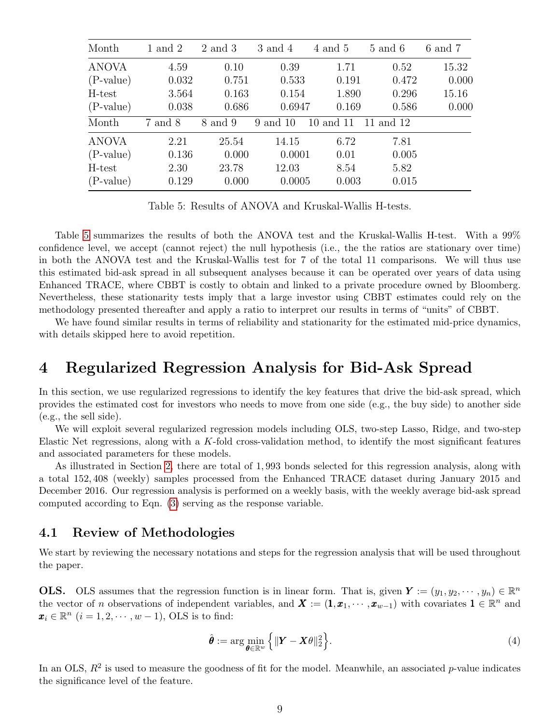<span id="page-8-1"></span>

| Month        | 1 and 2 | 2 and 3 | $3$ and $4$ | 4 and 5   | $5$ and $6$ | $6$ and $7$ |
|--------------|---------|---------|-------------|-----------|-------------|-------------|
| <b>ANOVA</b> | 4.59    | 0.10    | 0.39        | 1.71      | 0.52        | 15.32       |
| $(P-value)$  | 0.032   | 0.751   | 0.533       | 0.191     | 0.472       | 0.000       |
| H-test       | 3.564   | 0.163   | 0.154       | 1.890     | 0.296       | 15.16       |
| $(P-value)$  | 0.038   | 0.686   | 0.6947      | 0.169     | 0.586       | 0.000       |
| Month        | 7 and 8 | 8 and 9 | 9 and 10    | 10 and 11 | 11 and 12   |             |
| <b>ANOVA</b> | 2.21    | 25.54   | 14.15       | 6.72      | 7.81        |             |
| $(P-value)$  | 0.136   | 0.000   | 0.0001      | 0.01      | 0.005       |             |
| H-test       | 2.30    | 23.78   | 12.03       | 8.54      | 5.82        |             |
| $(P-value)$  | 0.129   | 0.000   | 0.0005      | 0.003     | 0.015       |             |

Table 5: Results of ANOVA and Kruskal-Wallis H-tests.

Table [5](#page-8-1) summarizes the results of both the ANOVA test and the Kruskal-Wallis H-test. With a 99% confidence level, we accept (cannot reject) the null hypothesis (i.e., the the ratios are stationary over time) in both the ANOVA test and the Kruskal-Wallis test for 7 of the total 11 comparisons. We will thus use this estimated bid-ask spread in all subsequent analyses because it can be operated over years of data using Enhanced TRACE, where CBBT is costly to obtain and linked to a private procedure owned by Bloomberg. Nevertheless, these stationarity tests imply that a large investor using CBBT estimates could rely on the methodology presented thereafter and apply a ratio to interpret our results in terms of "units" of CBBT.

We have found similar results in terms of reliability and stationarity for the estimated mid-price dynamics, with details skipped here to avoid repetition.

## <span id="page-8-0"></span>4 Regularized Regression Analysis for Bid-Ask Spread

In this section, we use regularized regressions to identify the key features that drive the bid-ask spread, which provides the estimated cost for investors who needs to move from one side (e.g., the buy side) to another side (e.g., the sell side).

We will exploit several regularized regression models including OLS, two-step Lasso, Ridge, and two-step Elastic Net regressions, along with a K-fold cross-validation method, to identify the most significant features and associated parameters for these models.

As illustrated in Section [2,](#page-2-1) there are total of 1, 993 bonds selected for this regression analysis, along with a total 152, 408 (weekly) samples processed from the Enhanced TRACE dataset during January 2015 and December 2016. Our regression analysis is performed on a weekly basis, with the weekly average bid-ask spread computed according to Eqn. [\(3\)](#page-6-2) serving as the response variable.

#### 4.1 Review of Methodologies

We start by reviewing the necessary notations and steps for the regression analysis that will be used throughout the paper.

**OLS.** OLS assumes that the regression function is in linear form. That is, given  $Y := (y_1, y_2, \dots, y_n) \in \mathbb{R}^n$ the vector of n observations of independent variables, and  $X := (1, x_1, \dots, x_{w-1})$  with covariates  $1 \in \mathbb{R}^n$  and  $\mathbf{x}_i \in \mathbb{R}^n$   $(i = 1, 2, \cdots, w - 1)$ , OLS is to find:

$$
\hat{\boldsymbol{\theta}} := \arg \min_{\boldsymbol{\theta} \in \mathbb{R}^w} \left\{ \|\mathbf{Y} - \mathbf{X}\theta\|_2^2 \right\}.
$$
\n(4)

In an OLS,  $R^2$  is used to measure the goodness of fit for the model. Meanwhile, an associated p-value indicates the significance level of the feature.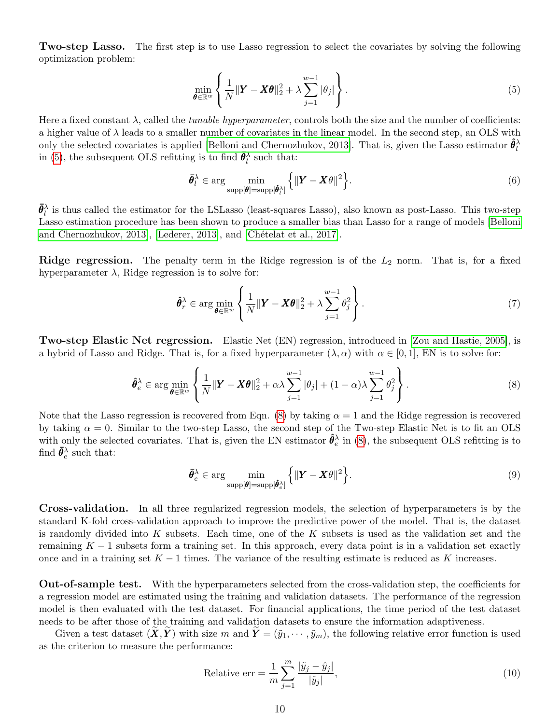**Two-step Lasso.** The first step is to use Lasso regression to select the covariates by solving the following optimization problem:

<span id="page-9-0"></span>
$$
\min_{\boldsymbol{\theta} \in \mathbb{R}^w} \left\{ \frac{1}{N} ||\boldsymbol{Y} - \boldsymbol{X}\boldsymbol{\theta}||_2^2 + \lambda \sum_{j=1}^{w-1} |\theta_j| \right\}.
$$
\n(5)

Here a fixed constant  $\lambda$ , called the *tunable hyperparameter*, controls both the size and the number of coefficients: a higher value of  $\lambda$  leads to a smaller number of covariates in the linear model. In the second step, an OLS with only the selected covariates is applied [\[Belloni and Chernozhukov, 2013\]](#page-26-9). That is, given the Lasso estimator  $\hat{\theta}_l^{\lambda}$ in [\(5\)](#page-9-0), the subsequent OLS refitting is to find  $\bar{\theta}_l^{\lambda}$  such that:

$$
\bar{\theta}_l^{\lambda} \in \arg\min_{\text{supp}[\hat{\theta}] = \text{supp}[\hat{\theta}_l^{\lambda}]} \left\{ ||Y - X\theta||^2 \right\}.
$$
 (6)

 $\bar{\theta}_l^{\lambda}$  is thus called the estimator for the LSLasso (least-squares Lasso), also known as post-Lasso. This two-step Lasso estimation procedure has been shown to produce a smaller bias than Lasso for a range of models [\[Belloni](#page-26-9) [and Chernozhukov, 2013\]](#page-26-9), [\[Lederer, 2013\]](#page-27-12), and [Chételat et al., 2017].

Ridge regression. The penalty term in the Ridge regression is of the  $L_2$  norm. That is, for a fixed hyperparameter  $\lambda$ , Ridge regression is to solve for:

$$
\hat{\theta}_r^{\lambda} \in \arg\min_{\theta \in \mathbb{R}^w} \left\{ \frac{1}{N} ||\mathbf{Y} - \mathbf{X}\theta||_2^2 + \lambda \sum_{j=1}^{w-1} \theta_j^2 \right\}.
$$
\n(7)

Two-step Elastic Net regression. Elastic Net (EN) regression, introduced in [\[Zou and Hastie, 2005\]](#page-28-2), is a hybrid of Lasso and Ridge. That is, for a fixed hyperparameter  $(\lambda, \alpha)$  with  $\alpha \in [0, 1]$ , EN is to solve for:

<span id="page-9-1"></span>
$$
\hat{\theta}_e^{\lambda} \in \arg\min_{\theta \in \mathbb{R}^w} \left\{ \frac{1}{N} \|\mathbf{Y} - \mathbf{X}\theta\|_2^2 + \alpha \lambda \sum_{j=1}^{w-1} |\theta_j| + (1-\alpha)\lambda \sum_{j=1}^{w-1} \theta_j^2 \right\}.
$$
\n(8)

Note that the Lasso regression is recovered from Eqn. [\(8\)](#page-9-1) by taking  $\alpha = 1$  and the Ridge regression is recovered by taking  $\alpha = 0$ . Similar to the two-step Lasso, the second step of the Two-step Elastic Net is to fit an OLS with only the selected covariates. That is, given the EN estimator  $\hat{\theta}_e^{\lambda}$  in [\(8\)](#page-9-1), the subsequent OLS refitting is to find  $\bar{\theta}^{\lambda}_e$  such that:

$$
\bar{\boldsymbol{\theta}}_e^{\lambda} \in \arg \min_{\text{supp}[\boldsymbol{\theta}] = \text{supp}[\hat{\boldsymbol{\theta}}_e^{\lambda}]}\left\{ \|\boldsymbol{Y} - \boldsymbol{X}\boldsymbol{\theta}\|^2 \right\}.
$$
\n(9)

Cross-validation. In all three regularized regression models, the selection of hyperparameters is by the standard K-fold cross-validation approach to improve the predictive power of the model. That is, the dataset is randomly divided into K subsets. Each time, one of the K subsets is used as the validation set and the remaining  $K-1$  subsets form a training set. In this approach, every data point is in a validation set exactly once and in a training set  $K - 1$  times. The variance of the resulting estimate is reduced as K increases.

Out-of-sample test. With the hyperparameters selected from the cross-validation step, the coefficients for a regression model are estimated using the training and validation datasets. The performance of the regression model is then evaluated with the test dataset. For financial applications, the time period of the test dataset needs to be after those of the training and validation datasets to ensure the information adaptiveness.

Given a test dataset  $(\tilde{X}, \tilde{Y})$  with size m and  $\tilde{Y} = (\tilde{y}_1, \dots, \tilde{y}_m)$ , the following relative error function is used as the criterion to measure the performance:

<span id="page-9-2"></span>Relative err = 
$$
\frac{1}{m} \sum_{j=1}^{m} \frac{|\tilde{y}_j - \hat{y}_j|}{|\tilde{y}_j|},
$$
\n(10)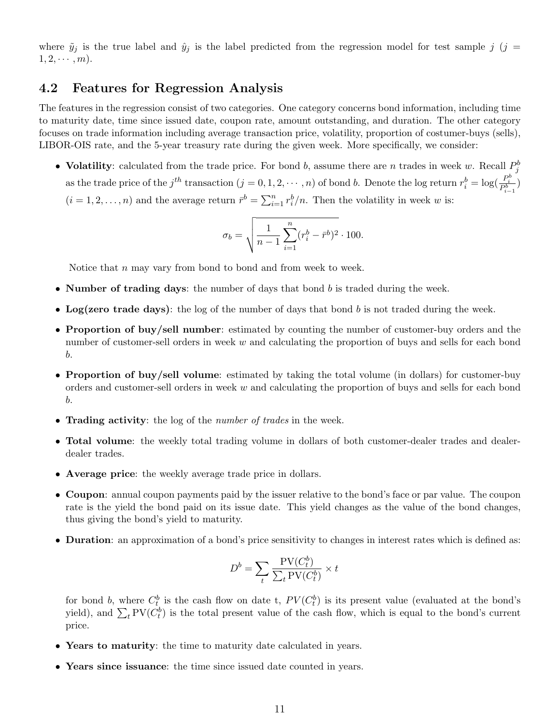where  $\tilde{y}_j$  is the true label and  $\hat{y}_j$  is the label predicted from the regression model for test sample j (j =  $1, 2, \cdots, m$ .

#### 4.2 Features for Regression Analysis

The features in the regression consist of two categories. One category concerns bond information, including time to maturity date, time since issued date, coupon rate, amount outstanding, and duration. The other category focuses on trade information including average transaction price, volatility, proportion of costumer-buys (sells), LIBOR-OIS rate, and the 5-year treasury rate during the given week. More specifically, we consider:

• Volatility: calculated from the trade price. For bond b, assume there are n trades in week w. Recall  $P_j^b$ as the trade price of the  $j^{th}$  transaction  $(j = 0, 1, 2, \dots, n)$  of bond b. Denote the log return  $r_i^b = \log(\frac{P_i^b}{P_{i-1}^b})$  $(i = 1, 2, \ldots, n)$  and the average return  $\bar{r}^b = \sum_{i=1}^n r_i^b/n$ . Then the volatility in week w is:

$$
\sigma_b = \sqrt{\frac{1}{n-1} \sum_{i=1}^n (r_i^b - \bar{r}^b)^2} \cdot 100.
$$

Notice that n may vary from bond to bond and from week to week.

- Number of trading days: the number of days that bond  $b$  is traded during the week.
- Log(zero trade days): the log of the number of days that bond  $b$  is not traded during the week.
- Proportion of buy/sell number: estimated by counting the number of customer-buy orders and the number of customer-sell orders in week w and calculating the proportion of buys and sells for each bond b.
- Proportion of buy/sell volume: estimated by taking the total volume (in dollars) for customer-buy orders and customer-sell orders in week w and calculating the proportion of buys and sells for each bond b.
- Trading activity: the log of the *number of trades* in the week.
- Total volume: the weekly total trading volume in dollars of both customer-dealer trades and dealerdealer trades.
- Average price: the weekly average trade price in dollars.
- Coupon: annual coupon payments paid by the issuer relative to the bond's face or par value. The coupon rate is the yield the bond paid on its issue date. This yield changes as the value of the bond changes, thus giving the bond's yield to maturity.
- Duration: an approximation of a bond's price sensitivity to changes in interest rates which is defined as:

$$
D^b = \sum_t \frac{\text{PV}(C_t^b)}{\sum_t \text{PV}(C_t^b)} \times t
$$

for bond b, where  $C_t^b$  is the cash flow on date t,  $PV(C_t^b)$  is its present value (evaluated at the bond's yield), and  $\sum_t \text{PV}(C_t^b)$  is the total present value of the cash flow, which is equal to the bond's current price.

- Years to maturity: the time to maturity date calculated in years.
- Years since issuance: the time since issued date counted in years.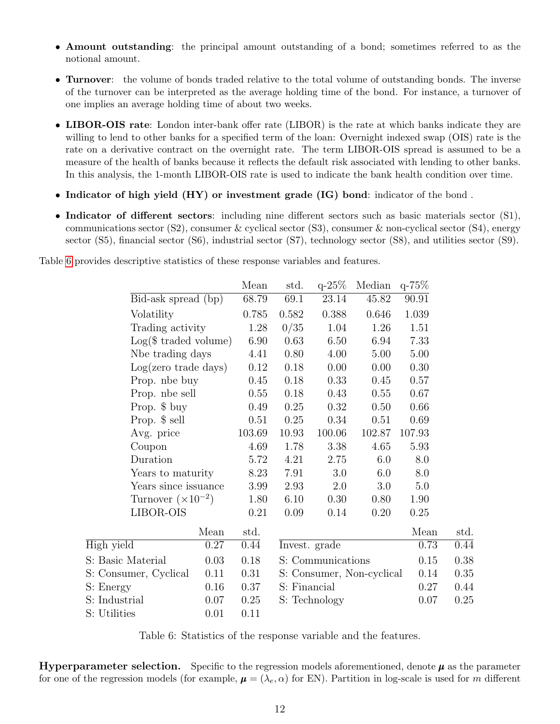- Amount outstanding: the principal amount outstanding of a bond; sometimes referred to as the notional amount.
- Turnover: the volume of bonds traded relative to the total volume of outstanding bonds. The inverse of the turnover can be interpreted as the average holding time of the bond. For instance, a turnover of one implies an average holding time of about two weeks.
- LIBOR-OIS rate: London inter-bank offer rate (LIBOR) is the rate at which banks indicate they are willing to lend to other banks for a specified term of the loan: Overnight indexed swap (OIS) rate is the rate on a derivative contract on the overnight rate. The term LIBOR-OIS spread is assumed to be a measure of the health of banks because it reflects the default risk associated with lending to other banks. In this analysis, the 1-month LIBOR-OIS rate is used to indicate the bank health condition over time.
- Indicator of high yield (HY) or investment grade (IG) bond: indicator of the bond.
- Indicator of different sectors: including nine different sectors such as basic materials sector (S1), communications sector  $(S2)$ , consumer & cyclical sector  $(S3)$ , consumer & non-cyclical sector  $(S4)$ , energy sector (S5), financial sector (S6), industrial sector (S7), technology sector (S8), and utilities sector (S9).

<span id="page-11-0"></span>Table [6](#page-11-0) provides descriptive statistics of these response variables and features.

|                             |      | Mean   | std.          | $q - 25\%$        | Median                    | $q - 75\%$ |      |
|-----------------------------|------|--------|---------------|-------------------|---------------------------|------------|------|
| Bid-ask spread (bp)         |      | 68.79  | 69.1          | 23.14             | 45.82                     | 90.91      |      |
| Volatility                  |      | 0.785  | 0.582         | 0.388             | 0.646                     | 1.039      |      |
| Trading activity            |      | 1.28   | 0/35          | 1.04              | 1.26                      | 1.51       |      |
| $Log($ traded volume)$      |      | 6.90   | 0.63          | 6.50              | 6.94                      | 7.33       |      |
| Nbe trading days            |      | 4.41   | 0.80          | 4.00              | 5.00                      | 5.00       |      |
| $Log(zero\ trade\ days)$    |      | 0.12   | 0.18          | 0.00              | 0.00                      | 0.30       |      |
| Prop. nbe buy               |      | 0.45   | 0.18          | 0.33              | 0.45                      | 0.57       |      |
| Prop. nbe sell              |      | 0.55   | 0.18          | 0.43              | 0.55                      | 0.67       |      |
| Prop. \$ buy                |      | 0.49   | 0.25          | 0.32              | 0.50                      | 0.66       |      |
| Prop. \$ sell               |      | 0.51   | 0.25          | 0.34              | 0.51                      | 0.69       |      |
| Avg. price                  |      | 103.69 | 10.93         | 100.06            | 102.87                    | 107.93     |      |
| Coupon                      |      | 4.69   | 1.78          | 3.38              | 4.65                      | $5.93\,$   |      |
| Duration                    |      | 5.72   | 4.21          | 2.75              | 6.0                       | 8.0        |      |
| Years to maturity           |      | 8.23   | 7.91          | 3.0               | 6.0                       | 8.0        |      |
| Years since issuance        |      | 3.99   | 2.93          | 2.0               | 3.0                       | 5.0        |      |
| Turnover $(\times 10^{-2})$ |      | 1.80   | 6.10          | 0.30              | 0.80                      | 1.90       |      |
| LIBOR-OIS                   |      | 0.21   | 0.09          | 0.14              | 0.20                      | 0.25       |      |
|                             | Mean | std.   |               |                   |                           | Mean       | std. |
| High yield                  | 0.27 | 0.44   | Invest. grade |                   |                           | 0.73       | 0.44 |
| S: Basic Material           | 0.03 | 0.18   |               | S: Communications |                           | 0.15       | 0.38 |
| S: Consumer, Cyclical       | 0.11 | 0.31   |               |                   | S: Consumer, Non-cyclical | 0.14       | 0.35 |
| S: Energy                   | 0.16 | 0.37   | S: Financial  |                   |                           | 0.27       | 0.44 |
| S: Industrial               | 0.07 | 0.25   |               | S: Technology     |                           | 0.07       | 0.25 |
| S: Utilities                | 0.01 | 0.11   |               |                   |                           |            |      |

Table 6: Statistics of the response variable and the features.

**Hyperparameter selection.** Specific to the regression models aforementioned, denote  $\mu$  as the parameter for one of the regression models (for example,  $\mu = (\lambda_e, \alpha)$  for EN). Partition in log-scale is used for m different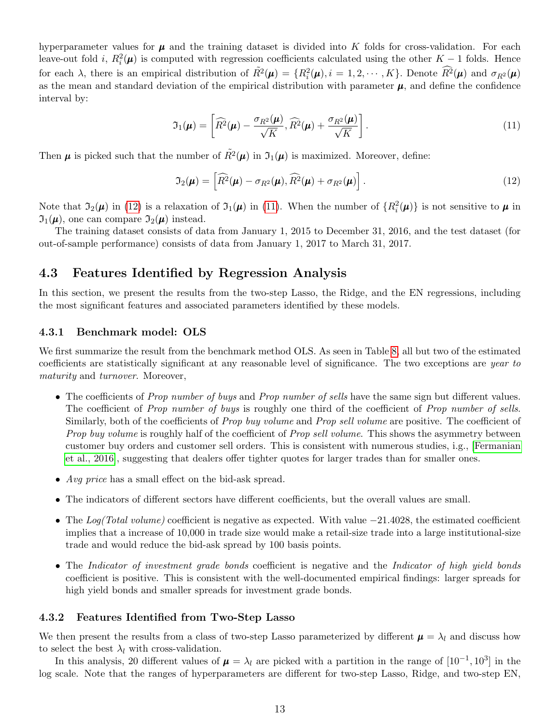hyperparameter values for  $\mu$  and the training dataset is divided into K folds for cross-validation. For each leave-out fold *i*,  $R_i^2(\mu)$  is computed with regression coefficients calculated using the other K – 1 folds. Hence for each  $\lambda$ , there is an empirical distribution of  $\tilde{R}^2(\mu) = \{R_i^2(\mu), i = 1, 2, \cdots, K\}$ . Denote  $\widehat{R}^2(\mu)$  and  $\sigma_{R^2}(\mu)$ as the mean and standard deviation of the empirical distribution with parameter  $\mu$ , and define the confidence interval by:

<span id="page-12-1"></span>
$$
\mathfrak{I}_1(\boldsymbol{\mu}) = \left[ \widehat{R^2}(\boldsymbol{\mu}) - \frac{\sigma_{R^2}(\boldsymbol{\mu})}{\sqrt{K}}, \widehat{R^2}(\boldsymbol{\mu}) + \frac{\sigma_{R^2}(\boldsymbol{\mu})}{\sqrt{K}} \right]. \tag{11}
$$

Then  $\mu$  is picked such that the number of  $\tilde{R}^2(\mu)$  in  $\mathfrak{I}_1(\mu)$  is maximized. Moreover, define:

<span id="page-12-0"></span>
$$
\mathfrak{I}_2(\boldsymbol{\mu}) = \left[ \widehat{R}^2(\boldsymbol{\mu}) - \sigma_{R^2}(\boldsymbol{\mu}), \widehat{R}^2(\boldsymbol{\mu}) + \sigma_{R^2}(\boldsymbol{\mu}) \right]. \tag{12}
$$

Note that  $\mathfrak{I}_2(\mu)$  in [\(12\)](#page-12-0) is a relaxation of  $\mathfrak{I}_1(\mu)$  in [\(11\)](#page-12-1). When the number of  $\{R_i^2(\mu)\}\$ is not sensitive to  $\mu$  in  $\mathfrak{I}_1(\mu)$ , one can compare  $\mathfrak{I}_2(\mu)$  instead.

The training dataset consists of data from January 1, 2015 to December 31, 2016, and the test dataset (for out-of-sample performance) consists of data from January 1, 2017 to March 31, 2017.

#### 4.3 Features Identified by Regression Analysis

In this section, we present the results from the two-step Lasso, the Ridge, and the EN regressions, including the most significant features and associated parameters identified by these models.

#### 4.3.1 Benchmark model: OLS

We first summarize the result from the benchmark method OLS. As seen in Table [8,](#page-22-0) all but two of the estimated coefficients are statistically significant at any reasonable level of significance. The two exceptions are year to maturity and turnover. Moreover,

- The coefficients of *Prop number of buys* and *Prop number of sells* have the same sign but different values. The coefficient of *Prop number of buys* is roughly one third of the coefficient of *Prop number of sells*. Similarly, both of the coefficients of *Prop buy volume* and *Prop sell volume* are positive. The coefficient of Prop buy volume is roughly half of the coefficient of Prop sell volume. This shows the asymmetry between customer buy orders and customer sell orders. This is consistent with numerous studies, i.g., [\[Fermanian](#page-27-11) [et al., 2016\]](#page-27-11), suggesting that dealers offer tighter quotes for larger trades than for smaller ones.
- Avg price has a small effect on the bid-ask spread.
- The indicators of different sectors have different coefficients, but the overall values are small.
- The Log(Total volume) coefficient is negative as expected. With value  $-21.4028$ , the estimated coefficient implies that a increase of 10,000 in trade size would make a retail-size trade into a large institutional-size trade and would reduce the bid-ask spread by 100 basis points.
- The Indicator of investment grade bonds coefficient is negative and the Indicator of high yield bonds coefficient is positive. This is consistent with the well-documented empirical findings: larger spreads for high yield bonds and smaller spreads for investment grade bonds.

#### 4.3.2 Features Identified from Two-Step Lasso

We then present the results from a class of two-step Lasso parameterized by different  $\mu = \lambda_l$  and discuss how to select the best  $\lambda_l$  with cross-validation.

In this analysis, 20 different values of  $\mu = \lambda_l$  are picked with a partition in the range of  $[10^{-1}, 10^3]$  in the log scale. Note that the ranges of hyperparameters are different for two-step Lasso, Ridge, and two-step EN,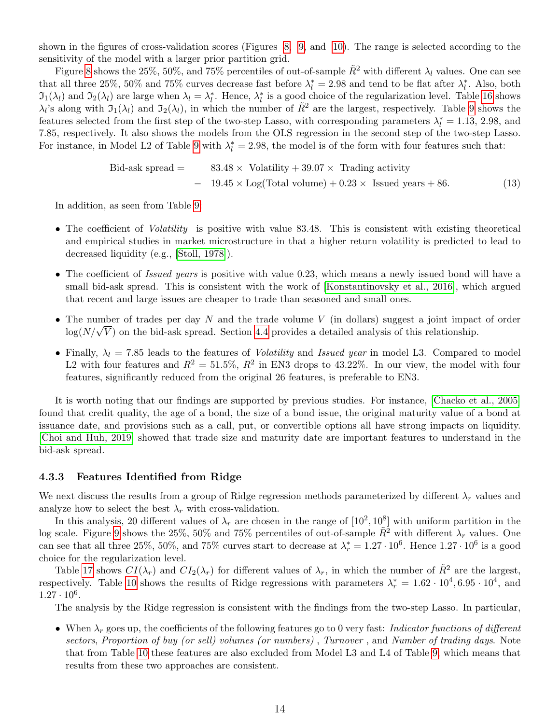shown in the figures of cross-validation scores (Figures [8,](#page-32-0) [9,](#page-33-0) and [10\)](#page-34-0). The range is selected according to the sensitivity of the model with a larger prior partition grid.

Figure [8](#page-32-0) shows the 25%, 50%, and 75% percentiles of out-of-sample  $\tilde{R}^2$  with different  $\lambda_l$  values. One can see that all three 25%, 50% and 75% curves decrease fast before  $\lambda_l^* = 2.98$  and tend to be flat after  $\lambda_l^*$ . Also, both  $\mathfrak{I}_1(\lambda_l)$  and  $\mathfrak{I}_2(\lambda_l)$  are large when  $\lambda_l = \lambda_l^*$ . Hence,  $\lambda_l^*$  is a good choice of the regularization level. Table [16](#page-33-1) shows  $\lambda_l$ 's along with  $\mathfrak{I}_1(\lambda_l)$  and  $\mathfrak{I}_2(\lambda_l)$ , in which the number of  $\tilde{R}^2$  are the largest, respectively. Table [9](#page-23-0) shows the features selected from the first step of the two-step Lasso, with corresponding parameters  $\lambda_l^* = 1.13, 2.98,$  and 7.85, respectively. It also shows the models from the OLS regression in the second step of the two-step Lasso. For instance, in Model L2 of Table [9](#page-23-0) with  $\lambda_l^* = 2.98$ , the model is of the form with four features such that:

\n
$$
\text{Bid-ask spread} = \quad 83.48 \times \text{Volatility} + 39.07 \times \text{ Trading activity}
$$
\n  
\n $\quad - \quad 19.45 \times \text{Log}(\text{Total volume}) + 0.23 \times \text{Israel years} + 86.$ \n

In addition, as seen from Table [9:](#page-23-0)

- The coefficient of *Volatility* is positive with value 83.48. This is consistent with existing theoretical and empirical studies in market microstructure in that a higher return volatility is predicted to lead to decreased liquidity (e.g., [\[Stoll, 1978\]](#page-28-3)).
- The coefficient of *Issued years* is positive with value 0.23, which means a newly issued bond will have a small bid-ask spread. This is consistent with the work of [\[Konstantinovsky et al., 2016\]](#page-27-13), which argued that recent and large issues are cheaper to trade than seasoned and small ones.
- The number of trades per day N and the trade volume  $V$  (in dollars) suggest a joint impact of order The number of trades per day *i* and the trade volume *v* (in domars) suggest a joint impact  $\log(N/\sqrt{V})$  on the bid-ask spread. Section [4.4](#page-15-0) provides a detailed analysis of this relationship.
- Finally,  $\lambda_l = 7.85$  leads to the features of *Volatility* and *Issued year* in model L3. Compared to model L2 with four features and  $R^2 = 51.5\%, R^2$  in EN3 drops to 43.22%. In our view, the model with four features, significantly reduced from the original 26 features, is preferable to EN3.

It is worth noting that our findings are supported by previous studies. For instance, [\[Chacko et al., 2005\]](#page-26-11) found that credit quality, the age of a bond, the size of a bond issue, the original maturity value of a bond at issuance date, and provisions such as a call, put, or convertible options all have strong impacts on liquidity. [\[Choi and Huh, 2019\]](#page-26-12) showed that trade size and maturity date are important features to understand in the bid-ask spread.

#### 4.3.3 Features Identified from Ridge

We next discuss the results from a group of Ridge regression methods parameterized by different  $\lambda_r$  values and analyze how to select the best  $\lambda_r$  with cross-validation.

In this analysis, 20 different values of  $\lambda_r$  are chosen in the range of  $[10^2, 10^8]$  with uniform partition in the log scale. Figure [9](#page-33-0) shows the 25%, 50% and 75% percentiles of out-of-sample  $\tilde{R}^2$  with different  $\lambda_r$  values. One can see that all three 25%, 50%, and 75% curves start to decrease at  $\lambda_r^* = 1.27 \cdot 10^6$ . Hence  $1.27 \cdot 10^6$  is a good choice for the regularization level.

Table [17](#page-34-1) shows  $CI(\lambda_r)$  and  $CI_2(\lambda_r)$  for different values of  $\lambda_r$ , in which the number of  $\tilde{R}^2$  are the largest, respectively. Table [10](#page-24-0) shows the results of Ridge regressions with parameters  $\lambda_r^* = 1.62 \cdot 10^4, 6.95 \cdot 10^4$ , and  $1.27 \cdot 10^6$ .

The analysis by the Ridge regression is consistent with the findings from the two-step Lasso. In particular,

• When  $\lambda_r$  goes up, the coefficients of the following features go to 0 very fast: Indicator functions of different sectors, Proportion of buy (or sell) volumes (or numbers) , Turnover , and Number of trading days. Note that from Table [10](#page-24-0) these features are also excluded from Model L3 and L4 of Table [9,](#page-23-0) which means that results from these two approaches are consistent.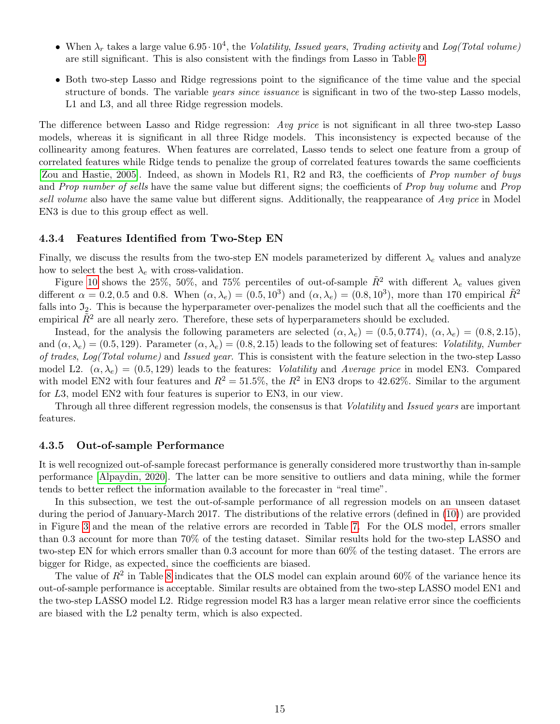- When  $\lambda_r$  takes a large value 6.95 $\cdot 10^4$ , the *Volatility, Issued years, Trading activity* and *Log(Total volume)* are still significant. This is also consistent with the findings from Lasso in Table [9.](#page-23-0)
- Both two-step Lasso and Ridge regressions point to the significance of the time value and the special structure of bonds. The variable *years since issuance* is significant in two of the two-step Lasso models, L1 and L3, and all three Ridge regression models.

The difference between Lasso and Ridge regression: Avg price is not significant in all three two-step Lasso models, whereas it is significant in all three Ridge models. This inconsistency is expected because of the collinearity among features. When features are correlated, Lasso tends to select one feature from a group of correlated features while Ridge tends to penalize the group of correlated features towards the same coefficients [\[Zou and Hastie, 2005\]](#page-28-2). Indeed, as shown in Models R1, R2 and R3, the coefficients of Prop number of buys and Prop number of sells have the same value but different signs; the coefficients of Prop buy volume and Prop sell volume also have the same value but different signs. Additionally, the reappearance of Avg price in Model EN3 is due to this group effect as well.

#### 4.3.4 Features Identified from Two-Step EN

Finally, we discuss the results from the two-step EN models parameterized by different  $\lambda_e$  values and analyze how to select the best  $\lambda_e$  with cross-validation.

Figure [10](#page-34-0) shows the 25%, 50%, and 75% percentiles of out-of-sample  $\tilde{R}^2$  with different  $\lambda_e$  values given different  $\alpha = 0.2, 0.5$  and 0.8. When  $(\alpha, \lambda_e) = (0.5, 10^3)$  and  $(\alpha, \lambda_e) = (0.8, 10^3)$ , more than 170 empirical  $\tilde{R}^2$ falls into  $\mathfrak{I}_2$ . This is because the hyperparameter over-penalizes the model such that all the coefficients and the empirical  $\tilde{R}^2$  are all nearly zero. Therefore, these sets of hyperparameters should be excluded.

Instead, for the analysis the following parameters are selected  $(\alpha, \lambda_e) = (0.5, 0.774), (\alpha, \lambda_e) = (0.8, 2.15),$ and  $(\alpha, \lambda_e) = (0.5, 129)$ . Parameter  $(\alpha, \lambda_e) = (0.8, 2.15)$  leads to the following set of features: *Volatility, Number* of trades, Log(Total volume) and Issued year. This is consistent with the feature selection in the two-step Lasso model L2.  $(\alpha, \lambda_e) = (0.5, 129)$  leads to the features: *Volatility* and Average price in model EN3. Compared with model EN2 with four features and  $R^2 = 51.5\%$ , the  $R^2$  in EN3 drops to 42.62%. Similar to the argument for L3, model EN2 with four features is superior to EN3, in our view.

Through all three different regression models, the consensus is that Volatility and Issued years are important features.

#### <span id="page-14-0"></span>4.3.5 Out-of-sample Performance

It is well recognized out-of-sample forecast performance is generally considered more trustworthy than in-sample performance [\[Alpaydin, 2020\]](#page-26-13). The latter can be more sensitive to outliers and data mining, while the former tends to better reflect the information available to the forecaster in "real time".

In this subsection, we test the out-of-sample performance of all regression models on an unseen dataset during the period of January-March 2017. The distributions of the relative errors (defined in [\(10\)](#page-9-2)) are provided in Figure [3](#page-15-1) and the mean of the relative errors are recorded in Table [7.](#page-15-2) For the OLS model, errors smaller than 0.3 account for more than 70% of the testing dataset. Similar results hold for the two-step LASSO and two-step EN for which errors smaller than 0.3 account for more than 60% of the testing dataset. The errors are bigger for Ridge, as expected, since the coefficients are biased.

The value of  $R^2$  in Table [8](#page-22-0) indicates that the OLS model can explain around 60% of the variance hence its out-of-sample performance is acceptable. Similar results are obtained from the two-step LASSO model EN1 and the two-step LASSO model L2. Ridge regression model R3 has a larger mean relative error since the coefficients are biased with the L2 penalty term, which is also expected.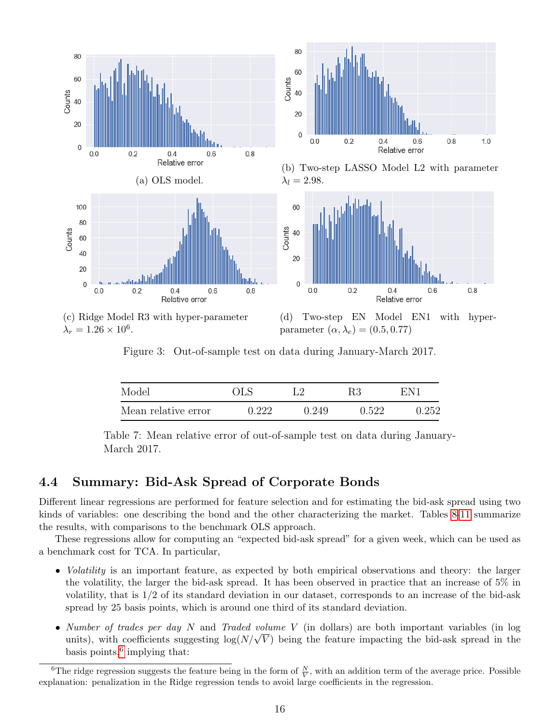<span id="page-15-1"></span>



(b) Two-step LASSO Model L2 with parameter  $\lambda_l = 2.98.$ 



<span id="page-15-2"></span>(c) Ridge Model R3 with hyper-parameter  $\lambda_r = 1.26 \times 10^6$ .

(d) Two-step EN Model EN1 with hyperparameter  $(\alpha, \lambda_e) = (0.5, 0.77)$ 

Figure 3: Out-of-sample test on data during January-March 2017.

| Model               | <b>OLS</b> | LЭ    | R3    | EN1   |
|---------------------|------------|-------|-------|-------|
| Mean relative error | 0.222      | 0.249 | 0.522 | 0.252 |

Table 7: Mean relative error of out-of-sample test on data during January-March 2017.

### <span id="page-15-0"></span>4.4 Summary: Bid-Ask Spread of Corporate Bonds

Different linear regressions are performed for feature selection and for estimating the bid-ask spread using two kinds of variables: one describing the bond and the other characterizing the market. Tables [8-](#page-22-0)[11](#page-25-0) summarize the results, with comparisons to the benchmark OLS approach.

These regressions allow for computing an "expected bid-ask spread" for a given week, which can be used as a benchmark cost for TCA. In particular,

- *Volatility* is an important feature, as expected by both empirical observations and theory: the larger the volatility, the larger the bid-ask spread. It has been observed in practice that an increase of 5% in volatility, that is 1/2 of its standard deviation in our dataset, corresponds to an increase of the bid-ask spread by 25 basis points, which is around one third of its standard deviation.
- Number of trades per day N and Traded volume V (in dollars) are both important variables (in log *Number of trades per day iv and Iraded volume V* (in dollars) are both important variables (in log<br>units), with coefficients suggesting  $log(N/\sqrt{V})$  being the feature impacting the bid-ask spread in the basis points,<sup>[6](#page-15-3)</sup> implying that:

<span id="page-15-3"></span><sup>&</sup>lt;sup>6</sup>The ridge regression suggests the feature being in the form of  $\frac{N}{V}$ , with an addition term of the average price. Possible explanation: penalization in the Ridge regression tends to avoid large coefficients in the regression.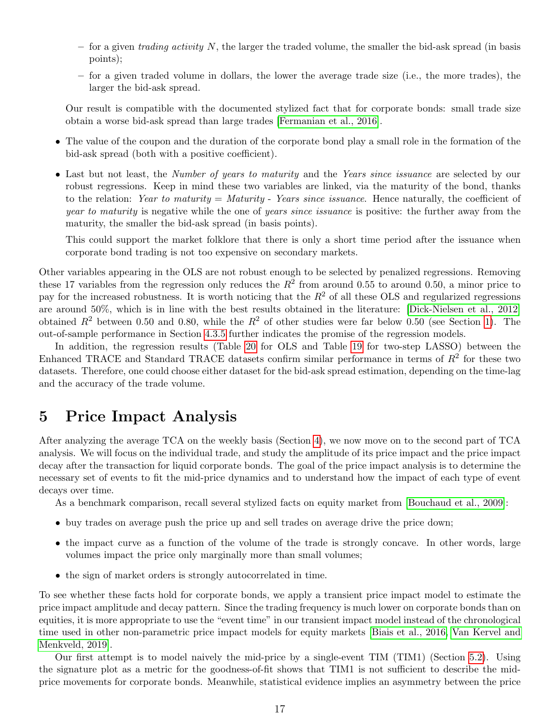- for a given trading activity  $N$ , the larger the traded volume, the smaller the bid-ask spread (in basis points);
- for a given traded volume in dollars, the lower the average trade size (i.e., the more trades), the larger the bid-ask spread.

Our result is compatible with the documented stylized fact that for corporate bonds: small trade size obtain a worse bid-ask spread than large trades [\[Fermanian et al., 2016\]](#page-27-11).

- The value of the coupon and the duration of the corporate bond play a small role in the formation of the bid-ask spread (both with a positive coefficient).
- Last but not least, the *Number of years to maturity* and the *Years since issuance* are selected by our robust regressions. Keep in mind these two variables are linked, via the maturity of the bond, thanks to the relation: Year to maturity = Maturity - Years since issuance. Hence naturally, the coefficient of year to maturity is negative while the one of years since issuance is positive: the further away from the maturity, the smaller the bid-ask spread (in basis points).

This could support the market folklore that there is only a short time period after the issuance when corporate bond trading is not too expensive on secondary markets.

Other variables appearing in the OLS are not robust enough to be selected by penalized regressions. Removing these 17 variables from the regression only reduces the  $R^2$  from around 0.55 to around 0.50, a minor price to pay for the increased robustness. It is worth noticing that the  $R<sup>2</sup>$  of all these OLS and regularized regressions are around 50%, which is in line with the best results obtained in the literature: [\[Dick-Nielsen et al., 2012\]](#page-26-4) obtained  $R^2$  between 0.50 and 0.80, while the  $R^2$  of other studies were far below 0.50 (see Section [1\)](#page-1-0). The out-of-sample performance in Section [4.3.5](#page-14-0) further indicates the promise of the regression models.

In addition, the regression results (Table [20](#page-37-0) for OLS and Table [19](#page-36-0) for two-step LASSO) between the Enhanced TRACE and Standard TRACE datasets confirm similar performance in terms of  $R^2$  for these two datasets. Therefore, one could choose either dataset for the bid-ask spread estimation, depending on the time-lag and the accuracy of the trade volume.

## <span id="page-16-0"></span>5 Price Impact Analysis

After analyzing the average TCA on the weekly basis (Section [4\)](#page-8-0), we now move on to the second part of TCA analysis. We will focus on the individual trade, and study the amplitude of its price impact and the price impact decay after the transaction for liquid corporate bonds. The goal of the price impact analysis is to determine the necessary set of events to fit the mid-price dynamics and to understand how the impact of each type of event decays over time.

As a benchmark comparison, recall several stylized facts on equity market from [\[Bouchaud et al., 2009\]](#page-26-8):

- buy trades on average push the price up and sell trades on average drive the price down;
- the impact curve as a function of the volume of the trade is strongly concave. In other words, large volumes impact the price only marginally more than small volumes;
- the sign of market orders is strongly autocorrelated in time.

To see whether these facts hold for corporate bonds, we apply a transient price impact model to estimate the price impact amplitude and decay pattern. Since the trading frequency is much lower on corporate bonds than on equities, it is more appropriate to use the "event time" in our transient impact model instead of the chronological time used in other non-parametric price impact models for equity markets [\[Biais et al., 2016,](#page-26-14) [Van Kervel and](#page-28-4) [Menkveld, 2019\]](#page-28-4).

Our first attempt is to model naively the mid-price by a single-event TIM (TIM1) (Section [5.2\)](#page-17-0). Using the signature plot as a metric for the goodness-of-fit shows that TIM1 is not sufficient to describe the midprice movements for corporate bonds. Meanwhile, statistical evidence implies an asymmetry between the price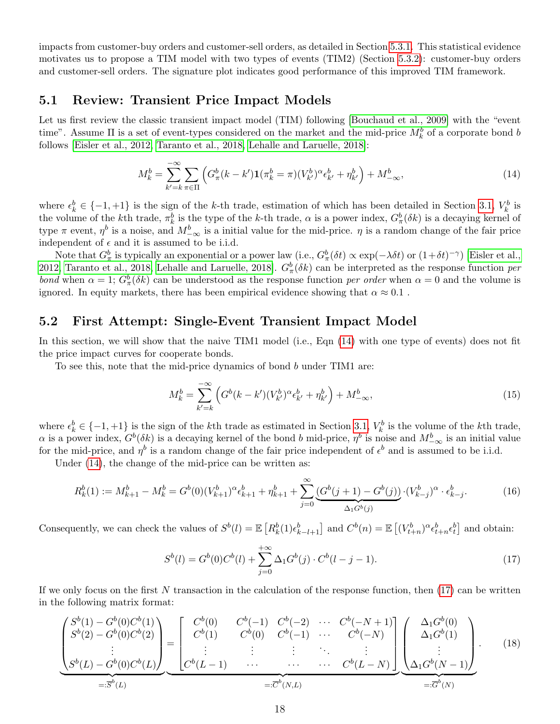impacts from customer-buy orders and customer-sell orders, as detailed in Section [5.3.1.](#page-19-0) This statistical evidence motivates us to propose a TIM model with two types of events (TIM2) (Section [5.3.2\)](#page-19-1): customer-buy orders and customer-sell orders. The signature plot indicates good performance of this improved TIM framework.

#### 5.1 Review: Transient Price Impact Models

Let us first review the classic transient impact model (TIM) following [\[Bouchaud et al., 2009\]](#page-26-8) with the "event time". Assume  $\Pi$  is a set of event-types considered on the market and the mid-price  $M_k^b$  of a corporate bond b follows [\[Eisler et al., 2012,](#page-27-14) [Taranto et al., 2018,](#page-28-5) [Lehalle and Laruelle, 2018\]](#page-27-15):

<span id="page-17-1"></span>
$$
M_k^b = \sum_{k'=k}^{-\infty} \sum_{\pi \in \Pi} \left( G_\pi^b(k - k') \mathbf{1} (\pi_k^b = \pi) (V_{k'}^b)^\alpha \epsilon_{k'}^b + \eta_{k'}^b \right) + M_{-\infty}^b,
$$
\n(14)

where  $\epsilon_k^b \in \{-1, +1\}$  is the sign of the k-th trade, estimation of which has been detailed in Section [3.1,](#page-5-0)  $V_k^b$  is the volume of the k<sup>th</sup> trade,  $\pi_k^b$  is the type of the k-th trade,  $\alpha$  is a power index,  $G_{\pi}^b(\delta k)$  is a decaying kernel of type  $\pi$  event,  $\eta^b$  is a noise, and  $M_{-\infty}^b$  is a initial value for the mid-price.  $\eta$  is a random change of the fair price independent of  $\epsilon$  and it is assumed to be i.i.d.

Note that  $G^b_\pi$  is typically an exponential or a power law (i.e.,  $G^b_\pi(\delta t) \propto \exp(-\lambda \delta t)$  or  $(1+\delta t)^{-\gamma}$ ) [\[Eisler et al.,](#page-27-14) [2012,](#page-27-14) [Taranto et al., 2018,](#page-28-5) [Lehalle and Laruelle, 2018\]](#page-27-15).  $G_{\pi}^{b}(\delta k)$  can be interpreted as the response function per bond when  $\alpha = 1$ ;  $G_{\pi}^{b}(\delta k)$  can be understood as the response function per order when  $\alpha = 0$  and the volume is ignored. In equity markets, there has been empirical evidence showing that  $\alpha \approx 0.1$ .

#### <span id="page-17-0"></span>5.2 First Attempt: Single-Event Transient Impact Model

In this section, we will show that the naive TIM1 model (i.e., Eqn [\(14\)](#page-17-1) with one type of events) does not fit the price impact curves for cooperate bonds.

To see this, note that the mid-price dynamics of bond b under TIM1 are:

$$
M_k^b = \sum_{k'=k}^{-\infty} \left( G^b(k-k')(V_{k'}^b)^\alpha \epsilon_{k'}^b + \eta_{k'}^b \right) + M_{-\infty}^b,
$$
\n(15)

where  $\epsilon_k^b \in \{-1, +1\}$  is the sign of the k<sup>th</sup> trade as estimated in Section [3.1,](#page-5-0)  $V_k^b$  is the volume of the k<sup>th</sup> trade,  $\alpha$  is a power index,  $G^b(\delta k)$  is a decaying kernel of the bond b mid-price,  $\eta^b$  is noise and  $M_{-\infty}^b$  is an initial value for the mid-price, and  $\eta^b$  is a random change of the fair price independent of  $\epsilon^b$  and is assumed to be i.i.d.

Under  $(14)$ , the change of the mid-price can be written as:

$$
R_k^b(1) := M_{k+1}^b - M_k^b = G^b(0)(V_{k+1}^b)^\alpha \epsilon_{k+1}^b + \eta_{k+1}^b + \sum_{j=0}^\infty \underbrace{(G^b(j+1) - G^b(j))}_{\Delta_1 G^b(j)} \cdot (V_{k-j}^b)^\alpha \cdot \epsilon_{k-j}^b. \tag{16}
$$

Consequently, we can check the values of  $S^b(l) = \mathbb{E}\left[R_k^b(1)\epsilon_{k-l+1}^b\right]$  and  $C^b(n) = \mathbb{E}\left[(V_{t+n}^b)^\alpha \epsilon_{t+n}^b \epsilon_t^b\right]$  and obtain:

<span id="page-17-2"></span>
$$
S^{b}(l) = G^{b}(0)C^{b}(l) + \sum_{j=0}^{+\infty} \Delta_{1}G^{b}(j) \cdot C^{b}(l-j-1). \tag{17}
$$

If we only focus on the first N transaction in the calculation of the response function, then  $(17)$  can be written in the following matrix format:

<span id="page-17-3"></span>
$$
\underbrace{\begin{pmatrix} S^b(1) - G^b(0)C^b(1) \\ S^b(2) - G^b(0)C^b(2) \\ \vdots \\ S^b(L) - G^b(0)C^b(L) \end{pmatrix}}_{=: \overline{S}^b(L)} = \underbrace{\begin{bmatrix} C^b(0) & C^b(-1) & C^b(-2) & \cdots & C^b(-N+1) \\ C^b(1) & C^b(0) & C^b(-1) & \cdots & C^b(-N) \\ \vdots & \vdots & \ddots & \vdots \\ C^b(L-1) & \cdots & \cdots & C^b(L-N) \end{bmatrix}}_{=: \overline{C}^b(N,L)} \underbrace{\begin{bmatrix} \Delta_1 G^b(0) \\ \Delta_1 G^b(1) \\ \vdots \\ \Delta_1 G^b(N-1) \end{bmatrix}}_{=: \overline{G}^b(N)}.
$$
\n(18)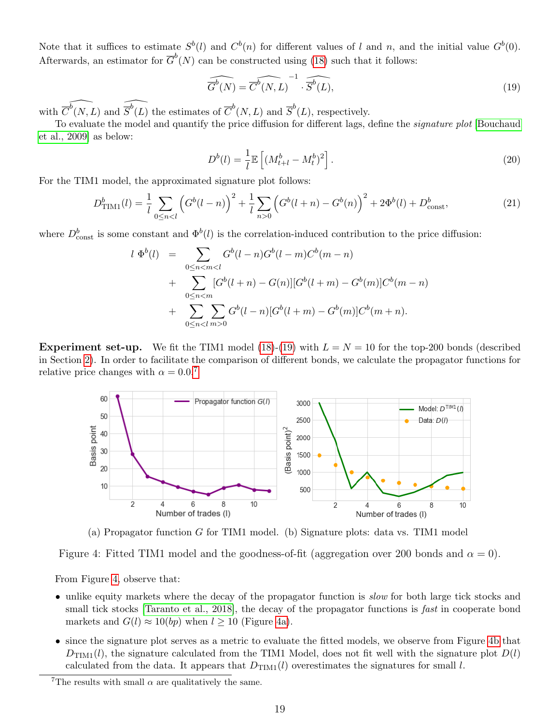Note that it suffices to estimate  $S^b(l)$  and  $C^b(n)$  for different values of l and n, and the initial value  $G^b(0)$ . Afterwards, an estimator for  $\overline{G}^b(N)$  can be constructed using [\(18\)](#page-17-3) such that it follows:

<span id="page-18-0"></span>
$$
\widehat{\overline{G}^b(N)} = \widehat{\overline{C}^b(N, L)}^{-1} \cdot \widehat{\overline{S}^b(L)},
$$
\n(19)

with  $\widehat{\overline{C}^b(N,L)}$  and  $\widehat{\overline{S}^b(L)}$  the estimates of  $\overline{C}^b(N,L)$  and  $\overline{S}^b(L)$ , respectively.

To evaluate the model and quantify the price diffusion for different lags, define the signature plot [\[Bouchaud](#page-26-8) [et al., 2009\]](#page-26-8) as below:

$$
D^{b}(l) = \frac{1}{l} \mathbb{E}\left[ (M_{t+l}^{b} - M_{t}^{b})^{2} \right].
$$
\n(20)

For the TIM1 model, the approximated signature plot follows:

$$
D_{\text{TIM1}}^{b}(l) = \frac{1}{l} \sum_{0 \le n < l} \left( G^{b}(l-n) \right)^{2} + \frac{1}{l} \sum_{n > 0} \left( G^{b}(l+n) - G^{b}(n) \right)^{2} + 2\Phi^{b}(l) + D_{\text{const}}^{b},\tag{21}
$$

where  $D_{\text{const}}^b$  is some constant and  $\Phi^b(l)$  is the correlation-induced contribution to the price diffusion:

$$
l \Phi^{b}(l) = \sum_{0 \leq n < m < l} G^{b}(l-n)G^{b}(l-m)C^{b}(m-n) + \sum_{0 \leq n < m} [G^{b}(l+n) - G(n)][G^{b}(l+m) - G^{b}(m)]C^{b}(m-n) + \sum_{0 \leq n < l} \sum_{m > 0} G^{b}(l-n)[G^{b}(l+m) - G^{b}(m)]C^{b}(m+n).
$$

<span id="page-18-2"></span>**Experiment set-up.** We fit the TIM1 model [\(18\)](#page-17-3)-[\(19\)](#page-18-0) with  $L = N = 10$  for the top-200 bonds (described in Section [2\)](#page-4-3). In order to facilitate the comparison of different bonds, we calculate the propagator functions for relative price changes with  $\alpha = 0.0$ <sup>[7](#page-18-1)</sup>



(a) Propagator function G for TIM1 model. (b) Signature plots: data vs. TIM1 model

Figure 4: Fitted TIM1 model and the goodness-of-fit (aggregation over 200 bonds and  $\alpha = 0$ ).

From Figure [4,](#page-18-2) observe that:

- unlike equity markets where the decay of the propagator function is *slow* for both large tick stocks and small tick stocks [\[Taranto et al., 2018\]](#page-28-5), the decay of the propagator functions is *fast* in cooperate bond markets and  $G(l) \approx 10(bp)$  when  $l \geq 10$  (Figure [4a\)](#page-18-2).
- since the signature plot serves as a metric to evaluate the fitted models, we observe from Figure [4b](#page-18-2) that  $D_{\text{TIM}}(l)$ , the signature calculated from the TIM1 Model, does not fit well with the signature plot  $D(l)$ calculated from the data. It appears that  $D_{\text{TIM}}(l)$  overestimates the signatures for small l.

<span id="page-18-1"></span><sup>&</sup>lt;sup>7</sup>The results with small  $\alpha$  are qualitatively the same.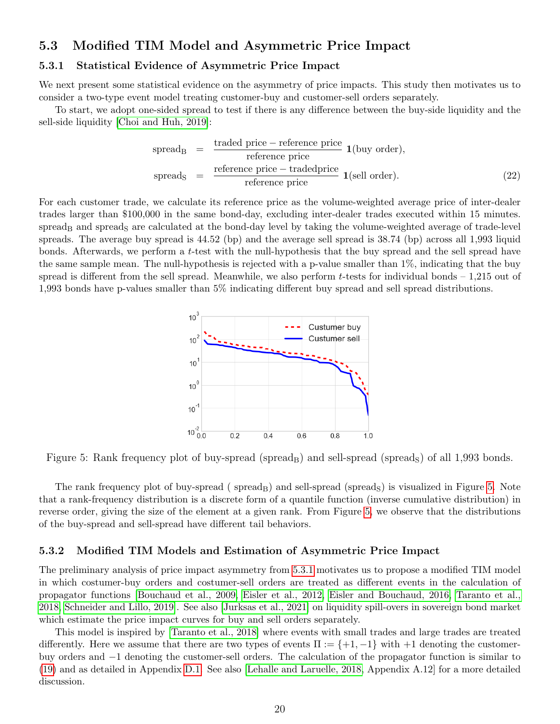### <span id="page-19-3"></span>5.3 Modified TIM Model and Asymmetric Price Impact

#### <span id="page-19-0"></span>5.3.1 Statistical Evidence of Asymmetric Price Impact

We next present some statistical evidence on the asymmetry of price impacts. This study then motivates us to consider a two-type event model treating customer-buy and customer-sell orders separately.

To start, we adopt one-sided spread to test if there is any difference between the buy-side liquidity and the sell-side liquidity [\[Choi and Huh, 2019\]](#page-26-12):

$$
spread_B = \frac{traded price - reference price}{reference price} 1 (buy order),
$$
\n
$$
spread_S = \frac{reference price - tradedyrice}{reference price} 1 (sell order). \tag{22}
$$

<span id="page-19-2"></span>For each customer trade, we calculate its reference price as the volume-weighted average price of inter-dealer trades larger than \$100,000 in the same bond-day, excluding inter-dealer trades executed within 15 minutes. spread<sub>B</sub> and spread<sub>S</sub> are calculated at the bond-day level by taking the volume-weighted average of trade-level spreads. The average buy spread is 44.52 (bp) and the average sell spread is 38.74 (bp) across all 1,993 liquid bonds. Afterwards, we perform a t-test with the null-hypothesis that the buy spread and the sell spread have the same sample mean. The null-hypothesis is rejected with a p-value smaller than 1%, indicating that the buy spread is different from the sell spread. Meanwhile, we also perform t-tests for individual bonds – 1,215 out of 1,993 bonds have p-values smaller than 5% indicating different buy spread and sell spread distributions.



Figure 5: Rank frequency plot of buy-spread (spread<sub>B</sub>) and sell-spread (spread<sub>S</sub>) of all 1,993 bonds.

The rank frequency plot of buy-spread (spread<sub>B</sub>) and sell-spread (spread<sub>S</sub>) is visualized in Figure [5.](#page-19-2) Note that a rank-frequency distribution is a discrete form of a quantile function (inverse cumulative distribution) in reverse order, giving the size of the element at a given rank. From Figure [5,](#page-19-2) we observe that the distributions of the buy-spread and sell-spread have different tail behaviors.

#### <span id="page-19-1"></span>5.3.2 Modified TIM Models and Estimation of Asymmetric Price Impact

The preliminary analysis of price impact asymmetry from [5.3.1](#page-19-0) motivates us to propose a modified TIM model in which costumer-buy orders and costumer-sell orders are treated as different events in the calculation of propagator functions [\[Bouchaud et al., 2009,](#page-26-8) [Eisler et al., 2012,](#page-27-14) [Eisler and Bouchaud, 2016,](#page-26-15) [Taranto et al.,](#page-28-5) [2018,](#page-28-5) [Schneider and Lillo, 2019\]](#page-28-6). See also [\[Jurksas et al., 2021\]](#page-27-16) on liquidity spill-overs in sovereign bond market which estimate the price impact curves for buy and sell orders separately.

This model is inspired by [\[Taranto et al., 2018\]](#page-28-5) where events with small trades and large trades are treated differently. Here we assume that there are two types of events  $\Pi := \{+1, -1\}$  with  $+1$  denoting the customerbuy orders and −1 denoting the customer-sell orders. The calculation of the propagator function is similar to [\(19\)](#page-18-0) and as detailed in Appendix [D.1.](#page-37-1) See also [\[Lehalle and Laruelle, 2018,](#page-27-15) Appendix A.12] for a more detailed discussion.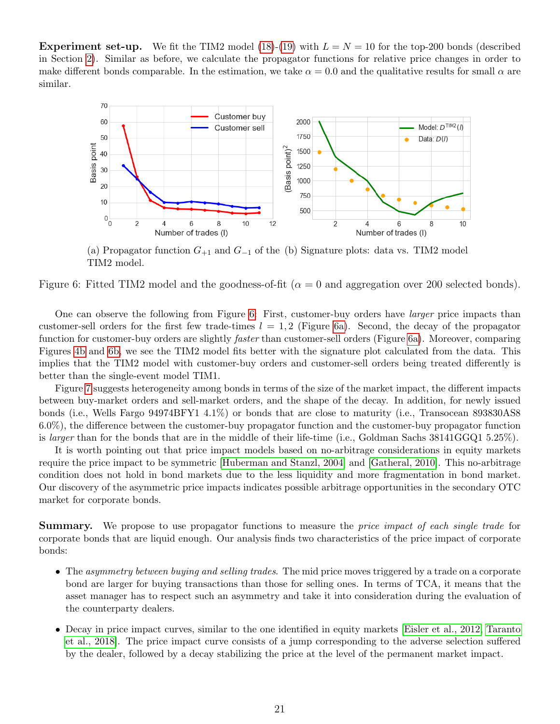**Experiment set-up.** We fit the TIM2 model [\(18\)](#page-17-3)-[\(19\)](#page-18-0) with  $L = N = 10$  for the top-200 bonds (described in Section [2\)](#page-4-3). Similar as before, we calculate the propagator functions for relative price changes in order to make different bonds comparable. In the estimation, we take  $\alpha = 0.0$  and the qualitative results for small  $\alpha$  are similar.

<span id="page-20-0"></span>

(a) Propagator function  $G_{+1}$  and  $G_{-1}$  of the (b) Signature plots: data vs. TIM2 model TIM2 model.

Figure 6: Fitted TIM2 model and the goodness-of-fit ( $\alpha = 0$  and aggregation over 200 selected bonds).

One can observe the following from Figure [6:](#page-20-0) First, customer-buy orders have larger price impacts than customer-sell orders for the first few trade-times  $l = 1, 2$  (Figure [6a\)](#page-20-0). Second, the decay of the propagator function for customer-buy orders are slightly *faster* than customer-sell orders (Figure [6a\)](#page-20-0). Moreover, comparing Figures [4b](#page-18-2) and [6b,](#page-20-0) we see the TIM2 model fits better with the signature plot calculated from the data. This implies that the TIM2 model with customer-buy orders and customer-sell orders being treated differently is better than the single-event model TIM1.

Figure [7](#page-21-0) suggests heterogeneity among bonds in terms of the size of the market impact, the different impacts between buy-market orders and sell-market orders, and the shape of the decay. In addition, for newly issued bonds (i.e., Wells Fargo 94974BFY1 4.1%) or bonds that are close to maturity (i.e., Transocean 893830AS8 6.0%), the difference between the customer-buy propagator function and the customer-buy propagator function is *larger* than for the bonds that are in the middle of their life-time (i.e., Goldman Sachs 38141GGQ1 5.25%).

It is worth pointing out that price impact models based on no-arbitrage considerations in equity markets require the price impact to be symmetric [\[Huberman and Stanzl, 2004\]](#page-27-17) and [\[Gatheral, 2010\]](#page-27-18). This no-arbitrage condition does not hold in bond markets due to the less liquidity and more fragmentation in bond market. Our discovery of the asymmetric price impacts indicates possible arbitrage opportunities in the secondary OTC market for corporate bonds.

**Summary.** We propose to use propagator functions to measure the *price impact of each single trade* for corporate bonds that are liquid enough. Our analysis finds two characteristics of the price impact of corporate bonds:

- The asymmetry between buying and selling trades. The mid price moves triggered by a trade on a corporate bond are larger for buying transactions than those for selling ones. In terms of TCA, it means that the asset manager has to respect such an asymmetry and take it into consideration during the evaluation of the counterparty dealers.
- Decay in price impact curves, similar to the one identified in equity markets [\[Eisler et al., 2012,](#page-27-14) [Taranto](#page-28-5) [et al., 2018\]](#page-28-5). The price impact curve consists of a jump corresponding to the adverse selection suffered by the dealer, followed by a decay stabilizing the price at the level of the permanent market impact.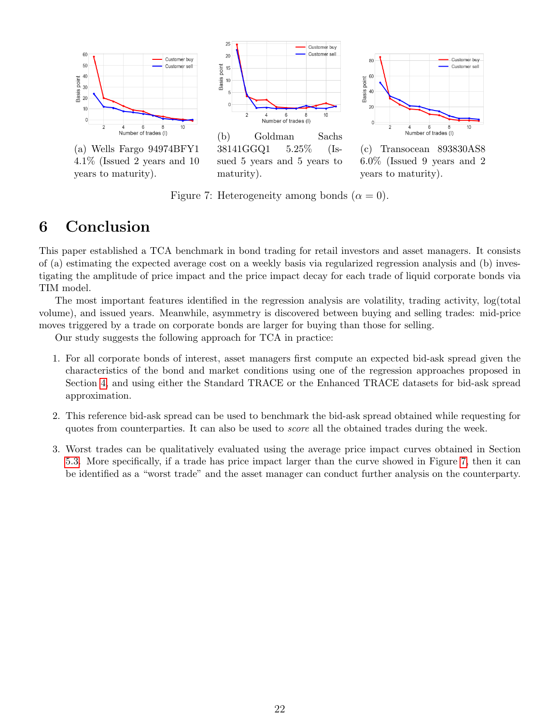<span id="page-21-0"></span>

4.1% (Issued 2 years and 10 years to maturity).

sued 5 years and 5 years to maturity).



(c) Transocean 893830AS8 6.0% (Issued 9 years and 2 years to maturity).

Figure 7: Heterogeneity among bonds  $(\alpha = 0)$ .

# 6 Conclusion

This paper established a TCA benchmark in bond trading for retail investors and asset managers. It consists of (a) estimating the expected average cost on a weekly basis via regularized regression analysis and (b) investigating the amplitude of price impact and the price impact decay for each trade of liquid corporate bonds via TIM model.

The most important features identified in the regression analysis are volatility, trading activity, log(total volume), and issued years. Meanwhile, asymmetry is discovered between buying and selling trades: mid-price moves triggered by a trade on corporate bonds are larger for buying than those for selling.

Our study suggests the following approach for TCA in practice:

- 1. For all corporate bonds of interest, asset managers first compute an expected bid-ask spread given the characteristics of the bond and market conditions using one of the regression approaches proposed in Section [4,](#page-8-0) and using either the Standard TRACE or the Enhanced TRACE datasets for bid-ask spread approximation.
- 2. This reference bid-ask spread can be used to benchmark the bid-ask spread obtained while requesting for quotes from counterparties. It can also be used to score all the obtained trades during the week.
- 3. Worst trades can be qualitatively evaluated using the average price impact curves obtained in Section [5.3.](#page-19-3) More specifically, if a trade has price impact larger than the curve showed in Figure [7,](#page-21-0) then it can be identified as a "worst trade" and the asset manager can conduct further analysis on the counterparty.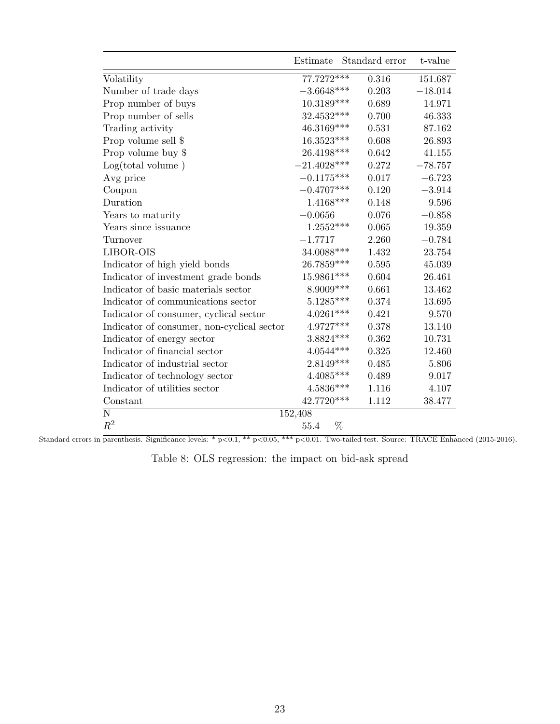<span id="page-22-0"></span>

|                                            | Estimate                 | Standard error | t-value   |
|--------------------------------------------|--------------------------|----------------|-----------|
| Volatility                                 | $77.7272***$             | 0.316          | 151.687   |
| Number of trade days                       | $-3.6648***$             | 0.203          | $-18.014$ |
| Prop number of buys                        | $10.3189***$             | 0.689          | 14.971    |
| Prop number of sells                       | $32.4532^{\ast\ast\ast}$ | 0.700          | 46.333    |
| Trading activity                           | $46.3169***$             | 0.531          | 87.162    |
| Prop volume sell \$                        | 16.3523***               | 0.608          | 26.893    |
| Prop volume buy \$                         | 26.4198***               | 0.642          | 41.155    |
| Log(total volume)                          | $-21.4028***$            | 0.272          | $-78.757$ |
| Avg price                                  | $-0.1175***$             | 0.017          | $-6.723$  |
| Coupon                                     | $-0.4707***$             | 0.120          | $-3.914$  |
| Duration                                   | $1.4168***$              | 0.148          | 9.596     |
| Years to maturity                          | $-0.0656$                | 0.076          | $-0.858$  |
| Years since issuance                       | $1.2552***$              | 0.065          | 19.359    |
| Turnover                                   | $-1.7717$                | 2.260          | $-0.784$  |
| LIBOR-OIS                                  | 34.0088***               | 1.432          | 23.754    |
| Indicator of high yield bonds              | 26.7859***               | 0.595          | 45.039    |
| Indicator of investment grade bonds        | 15.9861***               | 0.604          | 26.461    |
| Indicator of basic materials sector        | 8.9009***                | 0.661          | 13.462    |
| Indicator of communications sector         | $5.1285***$              | 0.374          | 13.695    |
| Indicator of consumer, cyclical sector     | $4.0261***$              | 0.421          | 9.570     |
| Indicator of consumer, non-cyclical sector | $4.9727***$              | 0.378          | 13.140    |
| Indicator of energy sector                 | $3.8824***$              | 0.362          | 10.731    |
| Indicator of financial sector              | $4.0544^{***}\;$         | 0.325          | 12.460    |
| Indicator of industrial sector             | $2.8149***$              | 0.485          | 5.806     |
| Indicator of technology sector             | $4.4085***$              | 0.489          | 9.017     |
| Indicator of utilities sector              | $4.5836***$              | 1.116          | 4.107     |
| Constant                                   | 42.7720***               | 1.112          | 38.477    |
| N                                          | 152,408                  |                |           |
| $R^2$                                      | %<br>55.4                |                |           |

|  |  | Table 8: OLS regression: the impact on bid-ask spread |  |  |  |  |  |
|--|--|-------------------------------------------------------|--|--|--|--|--|
|--|--|-------------------------------------------------------|--|--|--|--|--|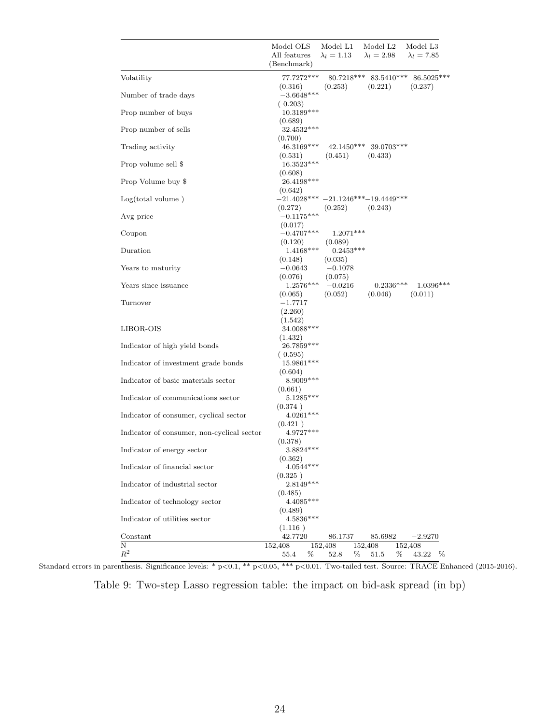<span id="page-23-0"></span>

|                                            | Model OLS<br>Model L1<br>Model L <sub>2</sub><br>Model L <sub>3</sub><br>$\lambda_l=2.98$<br>All features<br>$\lambda_l=1.13$<br>$\lambda_l = 7.85$<br>(Benchmark) |
|--------------------------------------------|--------------------------------------------------------------------------------------------------------------------------------------------------------------------|
| Volatility                                 | 77.7272***<br>$80.7218***$ $83.5410***$ $86.5025***$                                                                                                               |
|                                            | (0.221)<br>(0.316)<br>(0.253)<br>(0.237)                                                                                                                           |
| Number of trade days                       | $-3.6648***$                                                                                                                                                       |
| Prop number of buys                        | (0.203)<br>$10.3189***$<br>(0.689)                                                                                                                                 |
| Prop number of sells                       | $32.4532***$                                                                                                                                                       |
| Trading activity                           | (0.700)<br>46.3169***<br>42.1450*** 39.0703***                                                                                                                     |
| Prop volume sell \$                        | (0.531)<br>(0.451)<br>(0.433)<br>$16.3523^{***}\;$                                                                                                                 |
| Prop Volume buy \$                         | (0.608)<br>26.4198***                                                                                                                                              |
| Log(total volume)                          | (0.642)<br>$-21.4028*** -21.1246*** -19.4449***$                                                                                                                   |
|                                            | (0.272)<br>(0.252)<br>(0.243)<br>$-0.1175***$                                                                                                                      |
| Avg price                                  | (0.017)                                                                                                                                                            |
| Coupon                                     | $-0.4707***$<br>$1.2071***$<br>(0.120)<br>(0.089)                                                                                                                  |
| Duration                                   | $1.4168***$<br>$0.2453***$<br>(0.035)                                                                                                                              |
| Years to maturity                          | (0.148)<br>$-0.0643$<br>$-0.1078$                                                                                                                                  |
| Years since issuance                       | (0.076)<br>(0.075)<br>$1.2576***$<br>$0.2336***$<br>$1.0396***$<br>$-0.0216$<br>(0.052)<br>(0.046)<br>(0.011)<br>(0.065)                                           |
| Turnover                                   | $-1.7717$<br>(2.260)                                                                                                                                               |
| LIBOR-OIS                                  | (1.542)<br>34.0088***<br>(1.432)                                                                                                                                   |
| Indicator of high yield bonds              | $26.7859***$                                                                                                                                                       |
| Indicator of investment grade bonds        | (0.595)<br>$15.9861***$<br>(0.604)                                                                                                                                 |
| Indicator of basic materials sector        | $8.9009***$                                                                                                                                                        |
| Indicator of communications sector         | (0.661)<br>$5.1285***$                                                                                                                                             |
| Indicator of consumer, cyclical sector     | (0.374)<br>$4.0261***$                                                                                                                                             |
| Indicator of consumer, non-cyclical sector | (0.421)<br>$4.9727***$                                                                                                                                             |
| Indicator of energy sector                 | (0.378)<br>$3.8824***$                                                                                                                                             |
| Indicator of financial sector              | (0.362)<br>$4.0544***$                                                                                                                                             |
| Indicator of industrial sector             | (0.325)<br>2.8149***                                                                                                                                               |
| Indicator of technology sector             | (0.485)<br>$4.4085***$                                                                                                                                             |
| Indicator of utilities sector              | (0.489)<br>$4.5836***$                                                                                                                                             |
| Constant                                   | (1.116)<br>42.7720<br>$-2.9270$<br>86.1737<br>85.6982                                                                                                              |
| Ν                                          | 152,408<br>152,408<br>152,408<br>152,408                                                                                                                           |
| $\mathbb{R}^2$                             | %<br>%<br>43.22<br>55.4<br>52.8<br>$\%$<br>51.5<br>%                                                                                                               |

Table 9: Two-step Lasso regression table: the impact on bid-ask spread (in bp)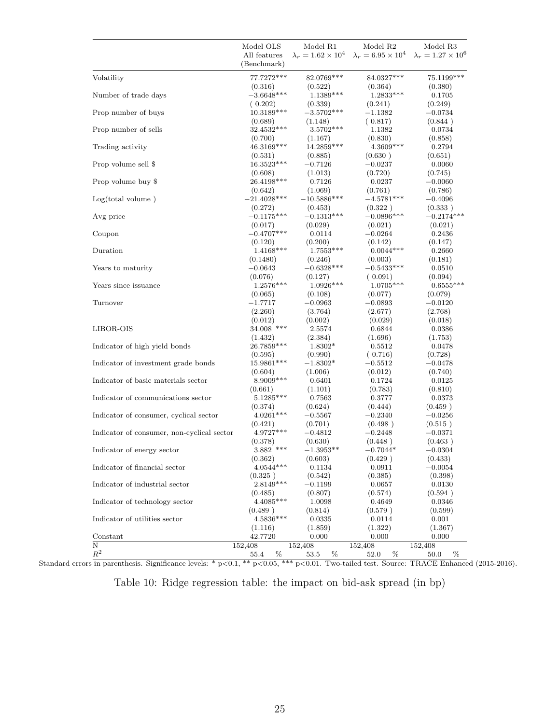<span id="page-24-0"></span>

|                                            | Model OLS                   | Model R1                       | Model R <sub>2</sub>           | Model R <sub>3</sub>           |
|--------------------------------------------|-----------------------------|--------------------------------|--------------------------------|--------------------------------|
|                                            | All features<br>(Benchmark) | $\lambda_r = 1.62 \times 10^4$ | $\lambda_r = 6.95 \times 10^4$ | $\lambda_r = 1.27 \times 10^6$ |
| Volatility                                 | 77.7272***                  | 82.0769***                     | 84.0327***                     | 75.1199***                     |
|                                            | (0.316)                     | (0.522)                        | (0.364)                        | (0.380)                        |
| Number of trade days                       | $-3.6648***$                | $1.1389***$                    | $1.2833***$                    | 0.1705                         |
| Prop number of buys                        | (0.202)<br>$10.3189***$     | (0.339)<br>$-3.5702***$        | (0.241)<br>$-1.1382$           | (0.249)<br>$-0.0734$           |
|                                            | (0.689)                     | (1.148)                        | (0.817)                        | (0.844)                        |
| Prop number of sells                       | 32.4532***                  | $3.5702***$                    | 1.1382                         | 0.0734                         |
|                                            | (0.700)                     | (1.167)                        | (0.830)                        | (0.858)                        |
| Trading activity                           | 46.3169***                  | $14.2859***$                   | $4.3609***$                    | 0.2794                         |
|                                            | (0.531)                     | (0.885)                        | (0.630)                        | (0.651)                        |
| Prop volume sell \$                        | 16.3523***                  | $-0.7126$                      | $-0.0237$                      | 0.0060                         |
|                                            | (0.608)<br>26.4198***       | (1.013)                        | (0.720)                        | (0.745)                        |
| Prop volume buy \$                         | (0.642)                     | 0.7126<br>(1.069)              | 0.0237<br>(0.761)              | $-0.0060$<br>(0.786)           |
| Log(total volume)                          | $-21.4028***$               | $-10.5886***$                  | $-4.5781***$                   | $-0.4096$                      |
|                                            | (0.272)                     | (0.453)                        | (0.322)                        | (0.333)                        |
| Avg price                                  | $-0.1175***$                | $-0.1313***$                   | $-0.0896***$                   | $-0.2174***$                   |
|                                            | (0.017)                     | (0.029)                        | (0.021)                        | (0.021)                        |
| Coupon                                     | $-0.4707***$                | 0.0114                         | $-0.0264$                      | 0.2436                         |
|                                            | (0.120)                     | (0.200)                        | (0.142)                        | (0.147)                        |
| Duration                                   | $1.4168***$                 | $1.7553***$                    | $0.0044***$                    | 0.2660                         |
|                                            | (0.1480)                    | (0.246)                        | (0.003)                        | (0.181)                        |
| Years to maturity                          | $-0.0643$                   | $-0.6328***$                   | $-0.5433***$                   | 0.0510                         |
|                                            | (0.076)                     | (0.127)                        | (0.091)                        | (0.094)                        |
| Years since issuance                       | $1.2576***$                 | $1.0926***$                    | $1.0705***$                    | $0.6555***$                    |
| Turnover                                   | (0.065)                     | (0.108)<br>$-0.0963$           | (0.077)                        | (0.079)                        |
|                                            | $-1.7717$<br>(2.260)        | (3.764)                        | $-0.0893$<br>(2.677)           | $-0.0120$<br>(2.768)           |
|                                            | (0.012)                     | (0.002)                        | (0.029)                        | (0.018)                        |
| LIBOR-OIS                                  | 34.008 ***                  | 2.5574                         | 0.6844                         | 0.0386                         |
|                                            | (1.432)                     | (2.384)                        | (1.696)                        | (1.753)                        |
| Indicator of high yield bonds              | 26.7859***                  | $1.8302*$                      | 0.5512                         | 0.0478                         |
|                                            | (0.595)                     | (0.990)                        | (0.716)                        | (0.728)                        |
| Indicator of investment grade bonds        | $15.9861^{***}\,$           | $-1.8302*$                     | $-0.5512$                      | $-0.0478$                      |
|                                            | (0.604)                     | (1.006)                        | (0.012)                        | (0.740)                        |
| Indicator of basic materials sector        | 8.9009***                   | 0.6401                         | 0.1724                         | 0.0125                         |
|                                            | (0.661)                     | (1.101)                        | (0.783)                        | (0.810)                        |
| Indicator of communications sector         | 5.1285***                   | 0.7563                         | 0.3777                         | 0.0373                         |
|                                            | (0.374)<br>$4.0261***$      | (0.624)                        | (0.444)                        | (0.459)                        |
| Indicator of consumer, cyclical sector     | (0.421)                     | $-0.5567$<br>(0.701)           | $-0.2340$<br>(0.498)           | $-0.0256$<br>(0.515)           |
| Indicator of consumer, non-cyclical sector | $4.9727***$                 | $-0.4812$                      | $-0.2448$                      | $-0.0371$                      |
|                                            | (0.378)                     | (0.630)                        | (0.448)                        | (0.463)                        |
| Indicator of energy sector                 | $3.882$ ***                 | $-1.3953**$                    | $-0.7044*$                     | $-0.0304$                      |
|                                            | (0.362)                     | (0.603)                        | (0.429)                        | (0.433)                        |
| Indicator of financial sector              | $4.0544***$                 | 0.1134                         | 0.0911                         | $-0.0054$                      |
|                                            | (0.325)                     | (0.542)                        | (0.385)                        | (0.398)                        |
| Indicator of industrial sector             | $2.8149***$                 | $-0.1199$                      | 0.0657                         | 0.0130                         |
|                                            | (0.485)                     | (0.807)                        | (0.574)                        | (0.594)                        |
| Indicator of technology sector             | $4.4085***$                 | 1.0098                         | 0.4649                         | 0.0346                         |
|                                            | (0.489)                     | (0.814)                        | (0.579)                        | (0.599)                        |
| Indicator of utilities sector              | $4.5836***$                 | 0.0335                         | 0.0114                         | 0.001                          |
|                                            | (1.116)                     | (1.859)                        | (1.322)                        | (1.367)                        |
| Constant<br>Ν                              | 42.7720<br>152,408          | 0.000<br>152,408               | 0.000<br>152,408               | 0.000<br>152,408               |
| $\mathbb{R}^2$                             | 55.4<br>%                   | %<br>53.5                      | 52.0<br>%                      | 50.0<br>%                      |
|                                            |                             |                                |                                |                                |

Table 10: Ridge regression table: the impact on bid-ask spread (in bp)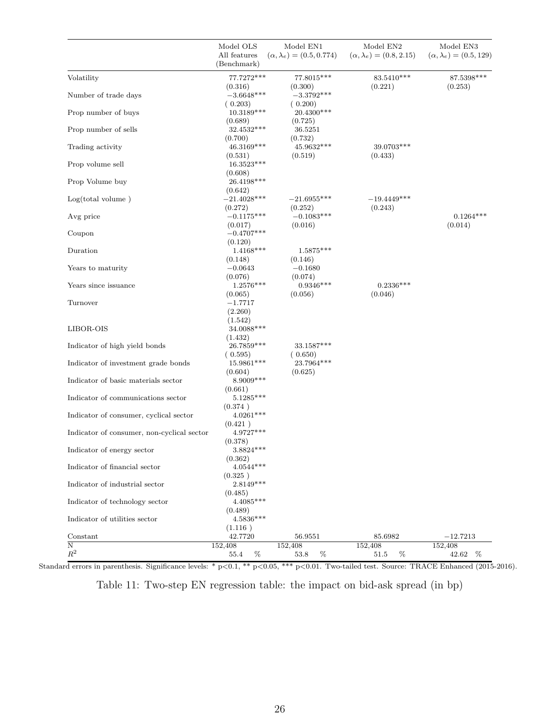<span id="page-25-0"></span>

|                                            | Model OLS                        | Model EN1                            | Model EN <sub>2</sub>               | Model EN3                          |
|--------------------------------------------|----------------------------------|--------------------------------------|-------------------------------------|------------------------------------|
|                                            | All features<br>(Benchmark)      | $(\alpha, \lambda_e) = (0.5, 0.774)$ | $(\alpha, \lambda_e) = (0.8, 2.15)$ | $(\alpha, \lambda_e) = (0.5, 129)$ |
| Volatility                                 | $77.7272***$<br>(0.316)          | 77.8015***<br>(0.300)                | 83.5410***<br>(0.221)               | 87.5398***<br>(0.253)              |
| Number of trade days                       | $-3.6648***$<br>(0.203)          | $-3.3792***$<br>(0.200)              |                                     |                                    |
| Prop number of buys                        | $10.3189***$<br>(0.689)          | 20.4300***<br>(0.725)                |                                     |                                    |
| Prop number of sells                       | 32.4532***<br>(0.700)            | 36.5251<br>(0.732)                   |                                     |                                    |
| Trading activity                           | 46.3169***<br>(0.531)            | 45.9632***<br>(0.519)                | 39.0703***<br>(0.433)               |                                    |
| Prop volume sell                           | 16.3523***<br>(0.608)            |                                      |                                     |                                    |
| Prop Volume buy                            | 26.4198***<br>(0.642)            |                                      |                                     |                                    |
| Log(total volume)                          | $-21.4028***$<br>(0.272)         | $-21.6955***$<br>(0.252)             | $-19.4449***$<br>(0.243)            |                                    |
| Avg price                                  | $-0.1175***$<br>(0.017)          | $-0.1083***$<br>(0.016)              |                                     | $0.1264***$<br>(0.014)             |
| Coupon                                     | $-0.4707***$<br>(0.120)          |                                      |                                     |                                    |
| Duration                                   | $1.4168***$<br>(0.148)           | $1.5875***$<br>(0.146)               |                                     |                                    |
| Years to maturity                          | $-0.0643$<br>(0.076)             | $-0.1680$<br>(0.074)                 |                                     |                                    |
| Years since issuance                       | $1.2576***$<br>(0.065)           | $0.9346***$<br>(0.056)               | $0.2336***$<br>(0.046)              |                                    |
| Turnover                                   | $-1.7717$<br>(2.260)             |                                      |                                     |                                    |
| LIBOR-OIS                                  | (1.542)<br>34.0088***<br>(1.432) |                                      |                                     |                                    |
| Indicator of high yield bonds              | 26.7859***<br>(0.595)            | $33.1587***$<br>(0.650)              |                                     |                                    |
| Indicator of investment grade bonds        | 15.9861***<br>(0.604)            | 23.7964***<br>(0.625)                |                                     |                                    |
| Indicator of basic materials sector        | $8.9009***$<br>(0.661)           |                                      |                                     |                                    |
| Indicator of communications sector         | $5.1285***$<br>(0.374)           |                                      |                                     |                                    |
| Indicator of consumer, cyclical sector     | $4.0261***$<br>(0.421)           |                                      |                                     |                                    |
| Indicator of consumer, non-cyclical sector | 4.9727***<br>(0.378)             |                                      |                                     |                                    |
| Indicator of energy sector                 | $3.8824***$<br>(0.362)           |                                      |                                     |                                    |
| Indicator of financial sector              | $4.0544***$<br>(0.325)           |                                      |                                     |                                    |
| Indicator of industrial sector             | 2.8149***<br>(0.485)             |                                      |                                     |                                    |
| Indicator of technology sector             | $4.4085***$<br>(0.489)           |                                      |                                     |                                    |
| Indicator of utilities sector              | $4.5836***$<br>(1.116)           |                                      |                                     |                                    |
| Constant                                   | 42.7720                          | 56.9551                              | 85.6982                             | $-12.7213$                         |
| N<br>$\mathbb{R}^2$                        | 152,408<br>%<br>55.4             | 152,408<br>%<br>53.8                 | 152,408<br>%<br>51.5                | 152,408<br>42.62<br>%              |

Table 11: Two-step EN regression table: the impact on bid-ask spread (in bp)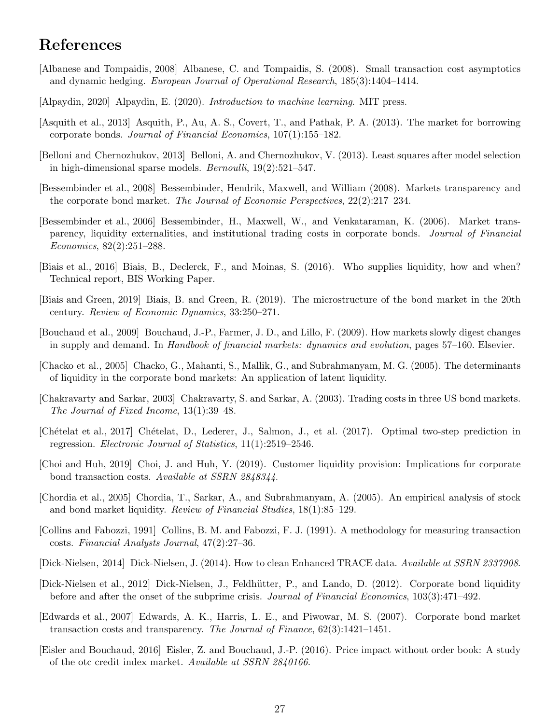# References

- <span id="page-26-1"></span>[Albanese and Tompaidis, 2008] Albanese, C. and Tompaidis, S. (2008). Small transaction cost asymptotics and dynamic hedging. European Journal of Operational Research, 185(3):1404–1414.
- <span id="page-26-13"></span>[Alpaydin, 2020] Alpaydin, E. (2020). Introduction to machine learning. MIT press.
- <span id="page-26-5"></span>[Asquith et al., 2013] Asquith, P., Au, A. S., Covert, T., and Pathak, P. A. (2013). The market for borrowing corporate bonds. Journal of Financial Economics, 107(1):155–182.
- <span id="page-26-9"></span>[Belloni and Chernozhukov, 2013] Belloni, A. and Chernozhukov, V. (2013). Least squares after model selection in high-dimensional sparse models. Bernoulli, 19(2):521–547.
- <span id="page-26-0"></span>[Bessembinder et al., 2008] Bessembinder, Hendrik, Maxwell, and William (2008). Markets transparency and the corporate bond market. The Journal of Economic Perspectives, 22(2):217–234.
- <span id="page-26-18"></span>[Bessembinder et al., 2006] Bessembinder, H., Maxwell, W., and Venkataraman, K. (2006). Market transparency, liquidity externalities, and institutional trading costs in corporate bonds. Journal of Financial Economics, 82(2):251–288.
- <span id="page-26-14"></span>[Biais et al., 2016] Biais, B., Declerck, F., and Moinas, S. (2016). Who supplies liquidity, how and when? Technical report, BIS Working Paper.
- <span id="page-26-7"></span>[Biais and Green, 2019] Biais, B. and Green, R. (2019). The microstructure of the bond market in the 20th century. Review of Economic Dynamics, 33:250–271.
- <span id="page-26-8"></span>[Bouchaud et al., 2009] Bouchaud, J.-P., Farmer, J. D., and Lillo, F. (2009). How markets slowly digest changes in supply and demand. In Handbook of financial markets: dynamics and evolution, pages 57–160. Elsevier.
- <span id="page-26-11"></span>[Chacko et al., 2005] Chacko, G., Mahanti, S., Mallik, G., and Subrahmanyam, M. G. (2005). The determinants of liquidity in the corporate bond markets: An application of latent liquidity.
- <span id="page-26-16"></span>[Chakravarty and Sarkar, 2003] Chakravarty, S. and Sarkar, A. (2003). Trading costs in three US bond markets. The Journal of Fixed Income, 13(1):39–48.
- <span id="page-26-10"></span>[Ch´etelat et al., 2017] Ch´etelat, D., Lederer, J., Salmon, J., et al. (2017). Optimal two-step prediction in regression. Electronic Journal of Statistics, 11(1):2519–2546.
- <span id="page-26-12"></span>[Choi and Huh, 2019] Choi, J. and Huh, Y. (2019). Customer liquidity provision: Implications for corporate bond transaction costs. Available at SSRN 2848344.
- <span id="page-26-17"></span>[Chordia et al., 2005] Chordia, T., Sarkar, A., and Subrahmanyam, A. (2005). An empirical analysis of stock and bond market liquidity. Review of Financial Studies, 18(1):85–129.
- <span id="page-26-2"></span>[Collins and Fabozzi, 1991] Collins, B. M. and Fabozzi, F. J. (1991). A methodology for measuring transaction costs. Financial Analysts Journal, 47(2):27–36.
- <span id="page-26-6"></span>[Dick-Nielsen, 2014] Dick-Nielsen, J. (2014). How to clean Enhanced TRACE data. Available at SSRN 2337908.
- <span id="page-26-4"></span>[Dick-Nielsen et al., 2012] Dick-Nielsen, J., Feldh¨utter, P., and Lando, D. (2012). Corporate bond liquidity before and after the onset of the subprime crisis. Journal of Financial Economics, 103(3):471–492.
- <span id="page-26-3"></span>[Edwards et al., 2007] Edwards, A. K., Harris, L. E., and Piwowar, M. S. (2007). Corporate bond market transaction costs and transparency. The Journal of Finance, 62(3):1421–1451.
- <span id="page-26-15"></span>[Eisler and Bouchaud, 2016] Eisler, Z. and Bouchaud, J.-P. (2016). Price impact without order book: A study of the otc credit index market. Available at SSRN 2840166.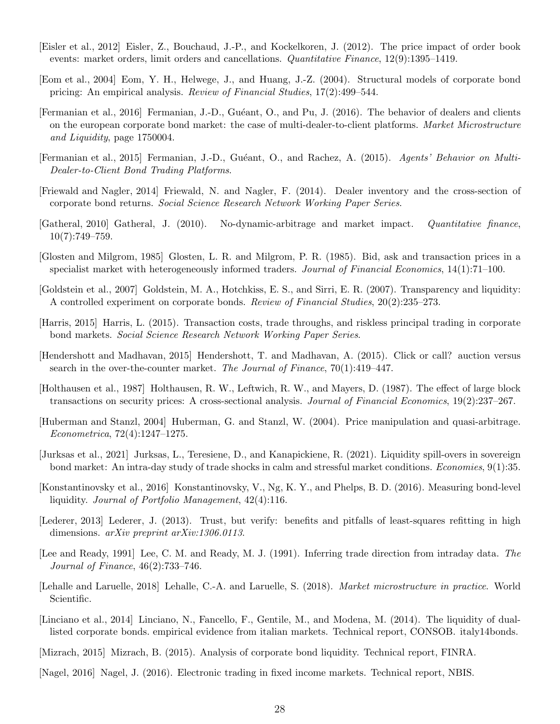- <span id="page-27-14"></span>[Eisler et al., 2012] Eisler, Z., Bouchaud, J.-P., and Kockelkoren, J. (2012). The price impact of order book events: market orders, limit orders and cancellations. *Quantitative Finance*, 12(9):1395–1419.
- <span id="page-27-7"></span>[Eom et al., 2004] Eom, Y. H., Helwege, J., and Huang, J.-Z. (2004). Structural models of corporate bond pricing: An empirical analysis. Review of Financial Studies, 17(2):499–544.
- <span id="page-27-11"></span>[Fermanian et al., 2016] Fermanian, J.-D., Gu´eant, O., and Pu, J. (2016). The behavior of dealers and clients on the european corporate bond market: the case of multi-dealer-to-client platforms. Market Microstructure and Liquidity, page 1750004.
- <span id="page-27-1"></span>[Fermanian et al., 2015] Fermanian, J.-D., Guéant, O., and Rachez, A. (2015). Agents' Behavior on Multi-Dealer-to-Client Bond Trading Platforms.
- <span id="page-27-19"></span>[Friewald and Nagler, 2014] Friewald, N. and Nagler, F. (2014). Dealer inventory and the cross-section of corporate bond returns. Social Science Research Network Working Paper Series.
- <span id="page-27-18"></span>[Gatheral, 2010] Gatheral, J. (2010). No-dynamic-arbitrage and market impact. Quantitative finance,  $10(7):749-759.$
- <span id="page-27-6"></span>[Glosten and Milgrom, 1985] Glosten, L. R. and Milgrom, P. R. (1985). Bid, ask and transaction prices in a specialist market with heterogeneously informed traders. Journal of Financial Economics, 14(1):71–100.
- <span id="page-27-5"></span>[Goldstein et al., 2007] Goldstein, M. A., Hotchkiss, E. S., and Sirri, E. R. (2007). Transparency and liquidity: A controlled experiment on corporate bonds. Review of Financial Studies, 20(2):235–273.
- <span id="page-27-4"></span>[Harris, 2015] Harris, L. (2015). Transaction costs, trade throughs, and riskless principal trading in corporate bond markets. Social Science Research Network Working Paper Series.
- <span id="page-27-3"></span>[Hendershott and Madhavan, 2015] Hendershott, T. and Madhavan, A. (2015). Click or call? auction versus search in the over-the-counter market. The Journal of Finance,  $70(1):419-447$ .
- <span id="page-27-9"></span>[Holthausen et al., 1987] Holthausen, R. W., Leftwich, R. W., and Mayers, D. (1987). The effect of large block transactions on security prices: A cross-sectional analysis. Journal of Financial Economics, 19(2):237–267.
- <span id="page-27-17"></span>[Huberman and Stanzl, 2004] Huberman, G. and Stanzl, W. (2004). Price manipulation and quasi-arbitrage. Econometrica, 72(4):1247–1275.
- <span id="page-27-16"></span>[Jurksas et al., 2021] Jurksas, L., Teresiene, D., and Kanapickiene, R. (2021). Liquidity spill-overs in sovereign bond market: An intra-day study of trade shocks in calm and stressful market conditions. Economies, 9(1):35.
- <span id="page-27-13"></span>[Konstantinovsky et al., 2016] Konstantinovsky, V., Ng, K. Y., and Phelps, B. D. (2016). Measuring bond-level liquidity. Journal of Portfolio Management, 42(4):116.
- <span id="page-27-12"></span>[Lederer, 2013] Lederer, J. (2013). Trust, but verify: benefits and pitfalls of least-squares refitting in high dimensions. *arXiv preprint arXiv:1306.0113*.
- <span id="page-27-10"></span>[Lee and Ready, 1991] Lee, C. M. and Ready, M. J. (1991). Inferring trade direction from intraday data. The Journal of Finance, 46(2):733–746.
- <span id="page-27-15"></span>[Lehalle and Laruelle, 2018] Lehalle, C.-A. and Laruelle, S. (2018). Market microstructure in practice. World Scientific.
- <span id="page-27-2"></span>[Linciano et al., 2014] Linciano, N., Fancello, F., Gentile, M., and Modena, M. (2014). The liquidity of duallisted corporate bonds. empirical evidence from italian markets. Technical report, CONSOB. italy14bonds.
- <span id="page-27-8"></span>[Mizrach, 2015] Mizrach, B. (2015). Analysis of corporate bond liquidity. Technical report, FINRA.
- <span id="page-27-0"></span>[Nagel, 2016] Nagel, J. (2016). Electronic trading in fixed income markets. Technical report, NBIS.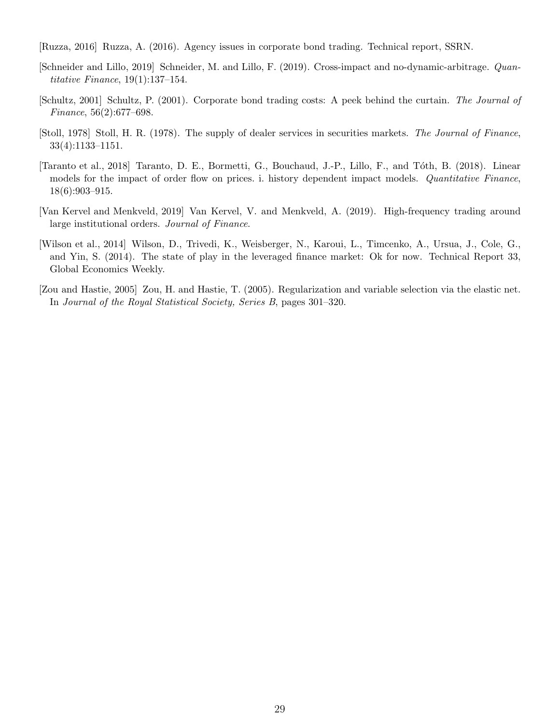<span id="page-28-1"></span>[Ruzza, 2016] Ruzza, A. (2016). Agency issues in corporate bond trading. Technical report, SSRN.

- <span id="page-28-6"></span>[Schneider and Lillo, 2019] Schneider, M. and Lillo, F. (2019). Cross-impact and no-dynamic-arbitrage. Quantitative Finance, 19(1):137–154.
- <span id="page-28-7"></span>[Schultz, 2001] Schultz, P. (2001). Corporate bond trading costs: A peek behind the curtain. The Journal of Finance, 56(2):677–698.
- <span id="page-28-3"></span>[Stoll, 1978] Stoll, H. R. (1978). The supply of dealer services in securities markets. The Journal of Finance, 33(4):1133–1151.
- <span id="page-28-5"></span>[Taranto et al., 2018] Taranto, D. E., Bormetti, G., Bouchaud, J.-P., Lillo, F., and T´oth, B. (2018). Linear models for the impact of order flow on prices. i. history dependent impact models. Quantitative Finance, 18(6):903–915.
- <span id="page-28-4"></span>[Van Kervel and Menkveld, 2019] Van Kervel, V. and Menkveld, A. (2019). High-frequency trading around large institutional orders. Journal of Finance.
- <span id="page-28-0"></span>[Wilson et al., 2014] Wilson, D., Trivedi, K., Weisberger, N., Karoui, L., Timcenko, A., Ursua, J., Cole, G., and Yin, S. (2014). The state of play in the leveraged finance market: Ok for now. Technical Report 33, Global Economics Weekly.
- <span id="page-28-2"></span>[Zou and Hastie, 2005] Zou, H. and Hastie, T. (2005). Regularization and variable selection via the elastic net. In Journal of the Royal Statistical Society, Series B, pages 301–320.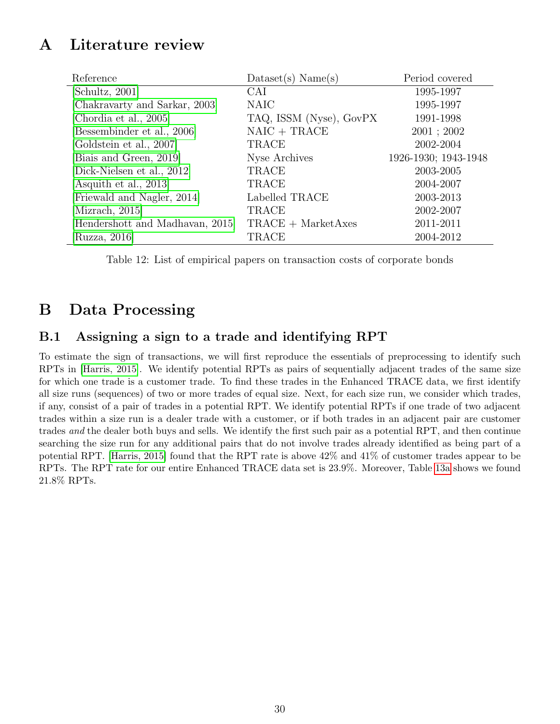# <span id="page-29-1"></span>A Literature review

<span id="page-29-0"></span>

| Reference                        | $\text{Database}(s) \text{ Name}(s)$       | Period covered       |
|----------------------------------|--------------------------------------------|----------------------|
| [Schultz, 2001]                  | <b>CAI</b>                                 | 1995-1997            |
| [Chakravarty and Sarkar, 2003]   | <b>NAIC</b>                                | 1995-1997            |
| [Chordia et al., 2005]           | TAQ, ISSM (Nyse), GovPX                    | 1991-1998            |
| [Bessembinder et al., 2006]      | $NAIC + TRACE$                             | 2001; 2002           |
| [Goldstein et al., 2007]         | <b>TRACE</b>                               | 2002-2004            |
| [Biais and Green, 2019]          | Nyse Archives                              | 1926-1930; 1943-1948 |
| [Dick-Nielsen et al., 2012]      | TRACE                                      | 2003-2005            |
| [Asquith et al., 2013]           | TRACE                                      | 2004-2007            |
| [Friewald and Nagler, 2014]      | Labelled TRACE                             | 2003-2013            |
| [Mizrach, 2015]                  | TRACE                                      | 2002-2007            |
| [Hendershott and Madhavan, 2015] | $\text{TRACE} + \text{MarketA} \text{xes}$ | 2011-2011            |
| [Ruzza, $2016$ ]                 | TRACE                                      | 2004-2012            |

Table 12: List of empirical papers on transaction costs of corporate bonds

# B Data Processing

## <span id="page-29-2"></span>B.1 Assigning a sign to a trade and identifying RPT

To estimate the sign of transactions, we will first reproduce the essentials of preprocessing to identify such RPTs in [\[Harris, 2015\]](#page-27-4). We identify potential RPTs as pairs of sequentially adjacent trades of the same size for which one trade is a customer trade. To find these trades in the Enhanced TRACE data, we first identify all size runs (sequences) of two or more trades of equal size. Next, for each size run, we consider which trades, if any, consist of a pair of trades in a potential RPT. We identify potential RPTs if one trade of two adjacent trades within a size run is a dealer trade with a customer, or if both trades in an adjacent pair are customer trades and the dealer both buys and sells. We identify the first such pair as a potential RPT, and then continue searching the size run for any additional pairs that do not involve trades already identified as being part of a potential RPT. [\[Harris, 2015\]](#page-27-4) found that the RPT rate is above 42% and 41% of customer trades appear to be RPTs. The RPT rate for our entire Enhanced TRACE data set is 23.9%. Moreover, Table [13a](#page-30-1) shows we found 21.8% RPTs.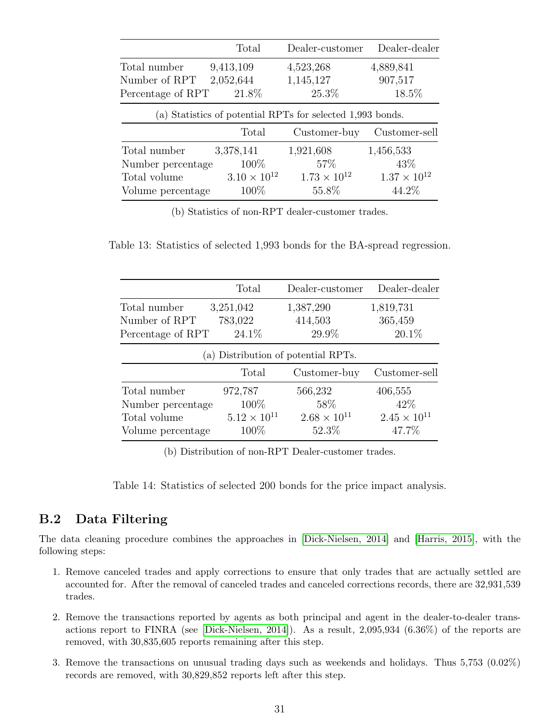<span id="page-30-1"></span>

|                   | Total                 | Dealer-customer                                            | Dealer-dealer         |
|-------------------|-----------------------|------------------------------------------------------------|-----------------------|
| Total number      | 9,413,109             | 4,523,268                                                  | 4,889,841             |
| Number of RPT     | 2,052,644             | 1,145,127                                                  | 907,517               |
| Percentage of RPT | 21.8%                 | 25.3%                                                      | 18.5%                 |
|                   |                       | (a) Statistics of potential RPTs for selected 1,993 bonds. |                       |
|                   | Total                 | Customer-buy                                               | Customer-sell         |
| Total number      | 3,378,141             | 1,921,608                                                  | 1,456,533             |
| Number percentage | 100\%                 | 57\%                                                       | 43\%                  |
| Total volume      | $3.10 \times 10^{12}$ | $1.73 \times 10^{12}$                                      | $1.37 \times 10^{12}$ |
| Volume percentage | 100\%                 | 55.8%                                                      | 44.2%                 |

(b) Statistics of non-RPT dealer-customer trades.

<span id="page-30-2"></span>Table 13: Statistics of selected 1,993 bonds for the BA-spread regression.

|                   | Total                 | Dealer-customer                     | Dealer-dealer         |
|-------------------|-----------------------|-------------------------------------|-----------------------|
| Total number      | 3,251,042             | 1,387,290                           | 1,819,731             |
| Number of RPT     | 783,022               | 414,503                             | 365,459               |
| Percentage of RPT | 24.1\%                | 29.9%                               | 20.1%                 |
|                   |                       | (a) Distribution of potential RPTs. |                       |
|                   | Total                 | Customer-buy                        | Customer-sell         |
| Total number      | 972,787               | 566,232                             | 406,555               |
| Number percentage | 100%                  | 58\%                                | 42\%                  |
| Total volume      | $5.12 \times 10^{11}$ | $2.68 \times 10^{11}$               | $2.45 \times 10^{11}$ |
| Volume percentage | 100\%                 | 52.3%                               | 47.7%                 |

(b) Distribution of non-RPT Dealer-customer trades.

Table 14: Statistics of selected 200 bonds for the price impact analysis.

## <span id="page-30-0"></span>B.2 Data Filtering

The data cleaning procedure combines the approaches in [\[Dick-Nielsen, 2014\]](#page-26-6) and [\[Harris, 2015\]](#page-27-4), with the following steps:

- 1. Remove canceled trades and apply corrections to ensure that only trades that are actually settled are accounted for. After the removal of canceled trades and canceled corrections records, there are 32,931,539 trades.
- 2. Remove the transactions reported by agents as both principal and agent in the dealer-to-dealer transactions report to FINRA (see [\[Dick-Nielsen, 2014\]](#page-26-6)). As a result, 2,095,934 (6.36%) of the reports are removed, with 30,835,605 reports remaining after this step.
- 3. Remove the transactions on unusual trading days such as weekends and holidays. Thus 5,753 (0.02%) records are removed, with 30,829,852 reports left after this step.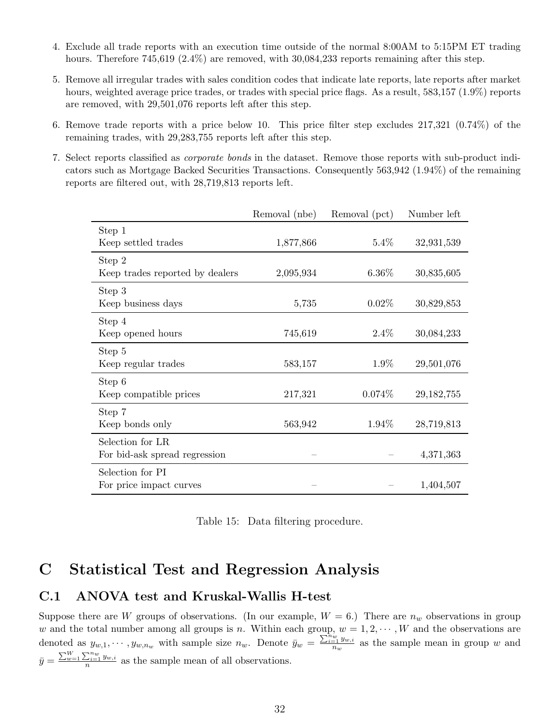- 4. Exclude all trade reports with an execution time outside of the normal 8:00AM to 5:15PM ET trading hours. Therefore 745,619 (2.4%) are removed, with 30,084,233 reports remaining after this step.
- 5. Remove all irregular trades with sales condition codes that indicate late reports, late reports after market hours, weighted average price trades, or trades with special price flags. As a result, 583,157 (1.9%) reports are removed, with 29,501,076 reports left after this step.
- 6. Remove trade reports with a price below 10. This price filter step excludes 217,321 (0.74%) of the remaining trades, with 29,283,755 reports left after this step.
- <span id="page-31-0"></span>7. Select reports classified as corporate bonds in the dataset. Remove those reports with sub-product indicators such as Mortgage Backed Securities Transactions. Consequently 563,942 (1.94%) of the remaining reports are filtered out, with 28,719,813 reports left.

|                                 | Removal (nbe) | Removal (pct) | Number left  |
|---------------------------------|---------------|---------------|--------------|
| Step 1                          |               |               |              |
| Keep settled trades             | 1,877,866     | $5.4\%$       | 32,931,539   |
| Step 2                          |               |               |              |
| Keep trades reported by dealers | 2,095,934     | $6.36\%$      | 30,835,605   |
| Step 3                          |               |               |              |
| Keep business days              | 5,735         | $0.02\%$      | 30,829,853   |
| Step 4                          |               |               |              |
| Keep opened hours               | 745,619       | $2.4\%$       | 30,084,233   |
| Step 5                          |               |               |              |
| Keep regular trades             | 583,157       | 1.9%          | 29,501,076   |
| Step 6                          |               |               |              |
| Keep compatible prices          | 217,321       | 0.074%        | 29, 182, 755 |
| Step 7                          |               |               |              |
| Keep bonds only                 | 563,942       | 1.94%         | 28,719,813   |
| Selection for LR                |               |               |              |
| For bid-ask spread regression   |               |               | 4,371,363    |
| Selection for PI                |               |               |              |
| For price impact curves         |               |               | 1,404,507    |

Table 15: Data filtering procedure.

# C Statistical Test and Regression Analysis

### <span id="page-31-1"></span>C.1 ANOVA test and Kruskal-Wallis H-test

Suppose there are W groups of observations. (In our example,  $W = 6$ .) There are  $n_w$  observations in group w and the total number among all groups is n. Within each group,  $w = 1, 2, \dots, W$  and the observations are denoted as  $y_{w,1}, \dots, y_{w,n_w}$  with sample size  $n_w$ . Denote  $\overline{y}_w = \frac{\sum_{i=1}^{n_w} y_{w,i}}{n_w}$  $\frac{a=1}{n_w}$  as the sample mean in group w and  $\bar{y} = \frac{\sum_{w=1}^{W} \sum_{i=1}^{n_w} y_{w,i}}{n}$  as the sample mean of all observations.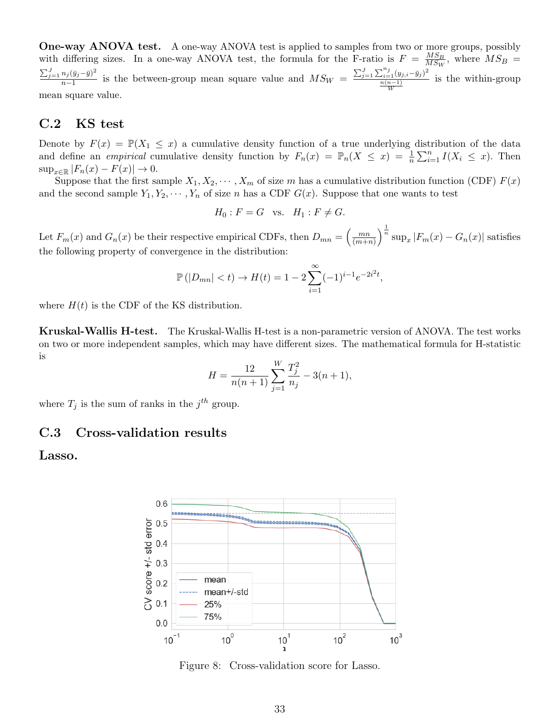One-way ANOVA test. A one-way ANOVA test is applied to samples from two or more groups, possibly with differing sizes. In a one-way ANOVA test, the formula for the F-ratio is  $F = \frac{MS_B}{MS_W}$  $\frac{MS_B}{MS_W}$ , where  $MS_B =$  $\sum_{j=1}^J n_j (\bar{y}_j - \bar{y})^2$  $\frac{n_j(\bar{y}_j-\bar{y})^2}{n-1}$  is the between-group mean square value and  $MS_W = \frac{\sum_{j=1}^{J} \sum_{i=1}^{n_j} (y_{j,i}-\bar{y}_j)^2}{\frac{n(n-1)}{n-1}}$  $\frac{n(n-1)}{W}$ is the within-group mean square value.

### C.2 KS test

Denote by  $F(x) = \mathbb{P}(X_1 \leq x)$  a cumulative density function of a true underlying distribution of the data and define an *empirical* cumulative density function by  $F_n(x) = \mathbb{P}_n(X \leq x) = \frac{1}{n} \sum_{i=1}^n I(X_i \leq x)$ . Then  $\sup_{x\in\mathbb{R}}|F_n(x)-F(x)|\to 0.$ 

Suppose that the first sample  $X_1, X_2, \cdots, X_m$  of size m has a cumulative distribution function (CDF)  $F(x)$ and the second sample  $Y_1, Y_2, \cdots, Y_n$  of size n has a CDF  $G(x)$ . Suppose that one wants to test

$$
H_0: F = G \quad \text{vs.} \quad H_1: F \neq G.
$$

Let  $F_m(x)$  and  $G_n(x)$  be their respective empirical CDFs, then  $D_{mn} = \begin{pmatrix} \frac{mn}{(m+n)} & \cdots & \frac{mn}{(m+n)} \end{pmatrix}$  $\frac{mn}{(m+n)}\Big)^{\frac{1}{n}}\sup_x |F_m(x) - G_n(x)|$  satisfies the following property of convergence in the distribution:

$$
\mathbb{P}(|D_{mn}| < t) \to H(t) = 1 - 2 \sum_{i=1}^{\infty} (-1)^{i-1} e^{-2i^2 t},
$$

where  $H(t)$  is the CDF of the KS distribution.

Kruskal-Wallis H-test. The Kruskal-Wallis H-test is a non-parametric version of ANOVA. The test works on two or more independent samples, which may have different sizes. The mathematical formula for H-statistic is

$$
H = \frac{12}{n(n+1)} \sum_{j=1}^{W} \frac{T_j^2}{n_j} - 3(n+1),
$$

where  $T_j$  is the sum of ranks in the  $j^{th}$  group.

### C.3 Cross-validation results

<span id="page-32-0"></span>Lasso.



Figure 8: Cross-validation score for Lasso.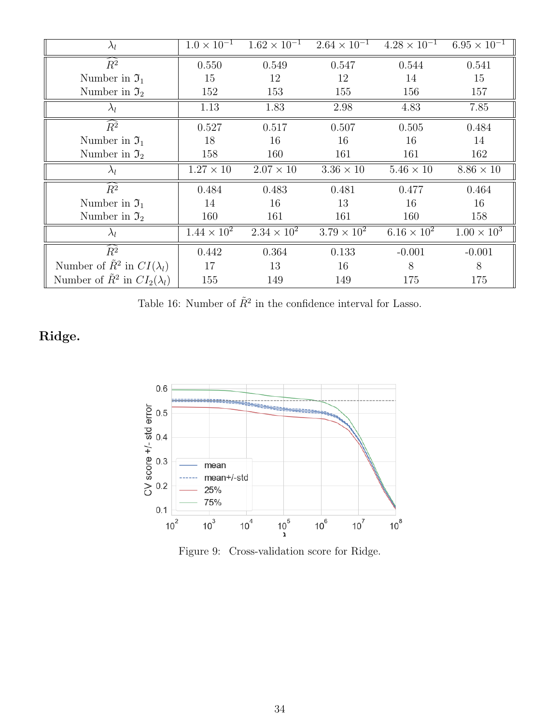<span id="page-33-1"></span>

| $\lambda_l$                                  | $1.0 \times 10^{-1}$ | $1.62 \times 10^{-1}$ | $2.64 \times 10^{-1}$ | $4.28 \times 10^{-1}$ | $6.95 \times 10^{-1}$ |
|----------------------------------------------|----------------------|-----------------------|-----------------------|-----------------------|-----------------------|
| $\widehat{R^2}$                              | 0.550                | 0.549                 | 0.547                 | 0.544                 | 0.541                 |
| Number in $\mathfrak{I}_1$                   | 15                   | 12                    | 12                    | 14                    | 15                    |
| Number in $\mathfrak{I}_2$                   | 152                  | 153                   | 155                   | 156                   | 157                   |
| $\lambda_l$                                  | 1.13                 | 1.83                  | 2.98                  | 4.83                  | 7.85                  |
| $\widehat{R^2}$                              | 0.527                | 0.517                 | 0.507                 | 0.505                 | 0.484                 |
| Number in $\mathfrak{I}_1$                   | 18                   | 16                    | 16                    | 16                    | 14                    |
| Number in $\mathfrak{I}_2$                   | 158                  | 160                   | 161                   | 161                   | 162                   |
| $\lambda_l$                                  | $1.27 \times 10$     | $2.07 \times 10$      | $3.36\times10$        | $5.46\times10$        | $8.86 \times 10$      |
| $R^2$                                        | 0.484                | 0.483                 | 0.481                 | 0.477                 | 0.464                 |
| Number in $\mathfrak{I}_1$                   | 14                   | 16                    | 13                    | 16                    | 16                    |
| Number in $\mathfrak{I}_2$                   | 160                  | 161                   | 161                   | 160                   | 158                   |
| $\lambda_l$                                  | $1.44 \times 10^{2}$ | $2.34 \times 10^{2}$  | $3.79 \times 10^{2}$  | $6.16 \times 10^{2}$  | $1.00 \times 10^{3}$  |
| $\widehat{R^2}$                              | 0.442                | 0.364                 | 0.133                 | $-0.001$              | $-0.001$              |
| Number of $\tilde{R}^2$ in $CI(\lambda_l)$   | 17                   | 13                    | 16                    | 8                     | 8                     |
| Number of $\tilde{R}^2$ in $CI_2(\lambda_l)$ | 155                  | 149                   | 149                   | 175                   | 175                   |

Table 16: Number of  $\tilde{R}^2$  in the confidence interval for Lasso.

# <span id="page-33-0"></span>Ridge.



Figure 9: Cross-validation score for Ridge.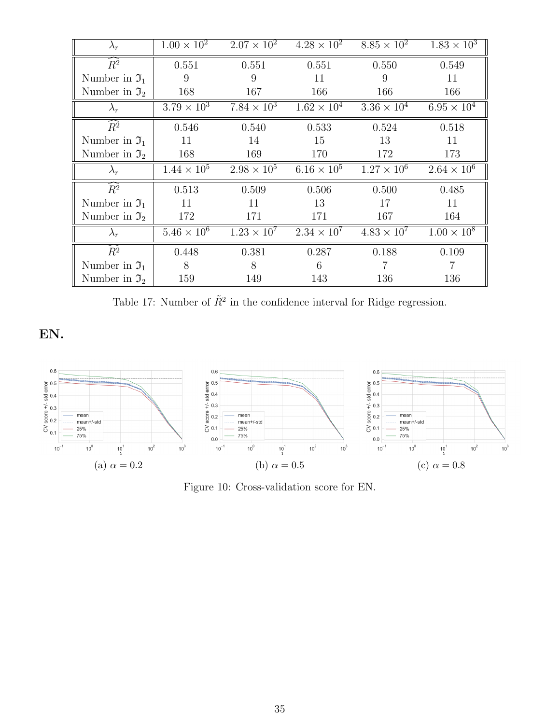<span id="page-34-1"></span>

| $\lambda_r$                | $1.00 \times 10^{2}$ | $2.07 \times 10^{2}$ | $4.28 \times 10^{2}$ | $8.85 \times 10^2$   | $1.83 \times 10^3$   |
|----------------------------|----------------------|----------------------|----------------------|----------------------|----------------------|
| $\widehat{R^2}$            | 0.551                | 0.551                | 0.551                | 0.550                | 0.549                |
| Number in $\mathfrak{I}_1$ | 9                    | 9                    | 11                   | 9                    | 11                   |
| Number in $\mathfrak{I}_2$ | 168                  | 167                  | 166                  | 166                  | 166                  |
| $\lambda_r$                | $3.79 \times 10^{3}$ | $7.84 \times 10^3$   | $1.62 \times 10^{4}$ | $3.36 \times 10^{4}$ | $6.95 \times 10^{4}$ |
| $\widehat{R}^2$            | 0.546                | 0.540                | 0.533                | 0.524                | 0.518                |
| Number in $\mathfrak{I}_1$ | 11                   | 14                   | 15                   | 13                   | 11                   |
| Number in $\mathfrak{I}_2$ | 168                  | 169                  | 170                  | 172                  | 173                  |
|                            |                      |                      |                      |                      |                      |
| $\lambda_r$                | $1.44 \times 10^{5}$ | $2.98 \times 10^5$   | $6.16 \times 10^{5}$ | $1.27 \times 10^6$   | $2.64 \times 10^{6}$ |
| $\widehat{R^2}$            | 0.513                | 0.509                | 0.506                | 0.500                | 0.485                |
| Number in $\mathfrak{I}_1$ | 11                   | 11                   | 13                   | 17                   | 11                   |
| Number in $\mathfrak{I}_2$ | 172                  | 171                  | 171                  | 167                  | 164                  |
| $\lambda_r$                | $5.46 \times 10^{6}$ | $1.23 \times 10^{7}$ | $2.34 \times 10^{7}$ | $4.83 \times 10^{7}$ | $1.00 \times 10^8$   |
| $\widehat{R^2}$            | 0.448                | 0.381                | 0.287                | 0.188                | 0.109                |
| Number in $\mathfrak{I}_1$ | 8                    | 8                    | 6                    |                      |                      |

Table 17: Number of  $\tilde{R}^2$  in the confidence interval for Ridge regression.

EN.

<span id="page-34-0"></span>

Figure 10: Cross-validation score for EN.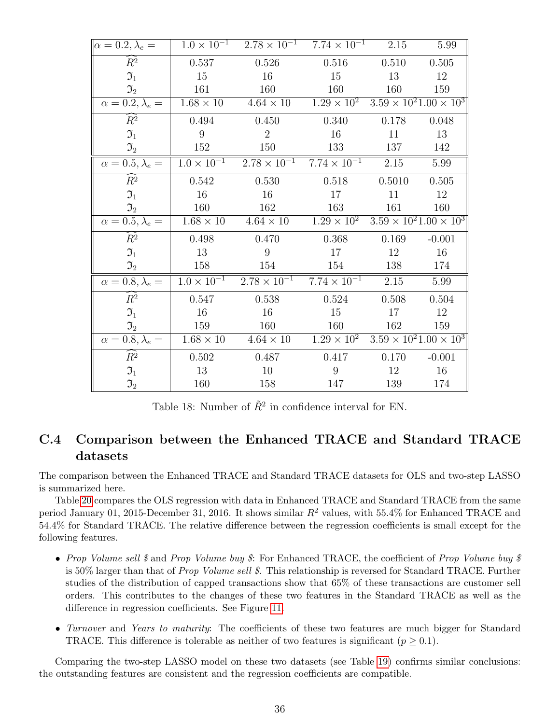| $\alpha = 0.2, \lambda_e =$            |                  | $1.0 \times 10^{-1}$ $2.78 \times 10^{-1}$ $7.74 \times 10^{-1}$ $2.15$                        |                                                       |        | 5.99     |
|----------------------------------------|------------------|------------------------------------------------------------------------------------------------|-------------------------------------------------------|--------|----------|
| $\widehat{R}^2$                        | 0.537            | 0.526                                                                                          | 0.516                                                 | 0.510  | 0.505    |
| $\Im_1$                                | 15               | 16                                                                                             | 15                                                    | 13     | 12       |
| $\mathfrak{I}_{2}$                     | 161              | 160                                                                                            | 160                                                   | 160    | 159      |
| $\alpha = 0.2, \lambda_e =$            |                  | $1.68 \times 10$ $4.64 \times 10$ $1.29 \times 10^{2}$ $3.59 \times 10^{2} 1.00 \times 10^{3}$ |                                                       |        |          |
| $\widehat{R}^2$                        | 0.494            | 0.450                                                                                          | 0.340                                                 | 0.178  | 0.048    |
| $\mathfrak{I}_1$                       | 9                | 2                                                                                              | 16                                                    | 11     | 13       |
| $\mathfrak{I}_{2}$                     | 152              | 150                                                                                            | 133                                                   | 137    | 142      |
| $\alpha = 0.5, \lambda_e =$            |                  | $1.0 \times 10^{-1}$ $2.78 \times 10^{-1}$ $7.74 \times 10^{-1}$ $2.15$                        |                                                       |        | 5.99     |
| $\widehat{R^2}$                        | 0.542            | 0.530                                                                                          | 0.518                                                 | 0.5010 | 0.505    |
| $\mathfrak{I}_1$                       | 16               | 16                                                                                             | 17                                                    | 11     | 12       |
| $\mathfrak{I}_2$                       | 160              | 162                                                                                            | 163                                                   | 161    | 160      |
| $\alpha = 0.5, \lambda_e =$            |                  | $1.68 \times 10$ $4.64 \times 10$                                                              | $1.29 \times 10^2$ $3.59 \times 10^21.00 \times 10^3$ |        |          |
| $\widehat{R}^2$                        | 0.498            | 0.470                                                                                          | 0.368                                                 | 0.169  | $-0.001$ |
| $\mathfrak{I}_1$                       | 13               | 9                                                                                              | 17                                                    | 12     | 16       |
| $\mathfrak{I}_2$                       | 158              | 154                                                                                            | 154                                                   | 138    | 174      |
| $\overline{\alpha} = 0.8, \lambda_e =$ |                  | $1.0 \times 10^{-1}$ $2.78 \times 10^{-1}$ $7.74 \times 10^{-1}$                               |                                                       | 2.15   | 5.99     |
| $R^2$                                  | 0.547            | 0.538                                                                                          | 0.524                                                 | 0.508  | 0.504    |
| $\mathfrak{I}_1$                       | 16               | 16                                                                                             | 15                                                    | 17     | 12       |
| $\mathfrak{I}_2$                       | 159              | 160                                                                                            | 160                                                   | 162    | 159      |
| $\alpha = 0.8, \lambda_e =$            | $1.68 \times 10$ | $4.64 \times 10$ $1.29 \times 10^2$ $3.59 \times 10^21.00 \times 10^3$                         |                                                       |        |          |
| $\widehat{R^2}$                        | 0.502            | 0.487                                                                                          | 0.417                                                 | 0.170  | $-0.001$ |
| $\mathfrak{I}_1$                       | 13               | 10                                                                                             | 9                                                     | 12     | 16       |
| $\mathfrak{I}_2$                       | 160              | 158                                                                                            | 147                                                   | 139    | 174      |

Table 18: Number of  $\tilde{R}^2$  in confidence interval for EN.

## <span id="page-35-0"></span>C.4 Comparison between the Enhanced TRACE and Standard TRACE datasets

The comparison between the Enhanced TRACE and Standard TRACE datasets for OLS and two-step LASSO is summarized here.

Table [20](#page-37-0) compares the OLS regression with data in Enhanced TRACE and Standard TRACE from the same period January 01, 2015-December 31, 2016. It shows similar  $R^2$  values, with 55.4% for Enhanced TRACE and 54.4% for Standard TRACE. The relative difference between the regression coefficients is small except for the following features.

- Prop Volume sell \$ and Prop Volume buy \$: For Enhanced TRACE, the coefficient of Prop Volume buy \$ is 50% larger than that of Prop Volume sell \$. This relationship is reversed for Standard TRACE. Further studies of the distribution of capped transactions show that 65% of these transactions are customer sell orders. This contributes to the changes of these two features in the Standard TRACE as well as the difference in regression coefficients. See Figure [11.](#page-36-1)
- Turnover and Years to maturity: The coefficients of these two features are much bigger for Standard TRACE. This difference is tolerable as neither of two features is significant ( $p \ge 0.1$ ).

Comparing the two-step LASSO model on these two datasets (see Table [19\)](#page-36-0) confirms similar conclusions: the outstanding features are consistent and the regression coefficients are compatible.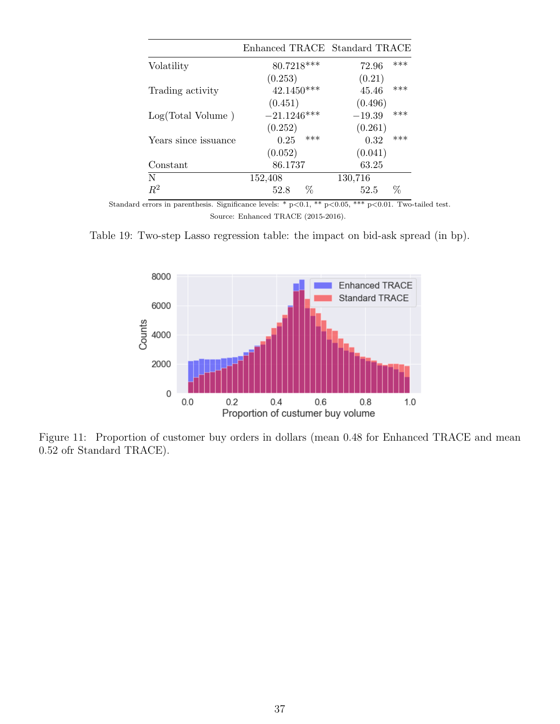<span id="page-36-0"></span>

|                      | Enhanced TRACE Standard TRACE |                 |
|----------------------|-------------------------------|-----------------|
| Volatility           | 80.7218***                    | ***<br>72.96    |
|                      | (0.253)                       | (0.21)          |
| Trading activity     | $42.1450***$                  | ***<br>45.46    |
|                      | (0.451)                       | (0.496)         |
| Log(Total Volume)    | $-21.1246***$                 | ***<br>$-19.39$ |
|                      | (0.252)                       | (0.261)         |
| Years since issuance | ***<br>0.25                   | ***<br>0.32     |
|                      | (0.052)                       | (0.041)         |
| Constant             | 86.1737                       | 63.25           |
| N                    | 152,408                       | 130,716         |
| $R^2$                | ℅<br>52.8                     | ℅<br>52.5       |

<span id="page-36-1"></span>Table 19: Two-step Lasso regression table: the impact on bid-ask spread (in bp).



Figure 11: Proportion of customer buy orders in dollars (mean 0.48 for Enhanced TRACE and mean 0.52 ofr Standard TRACE).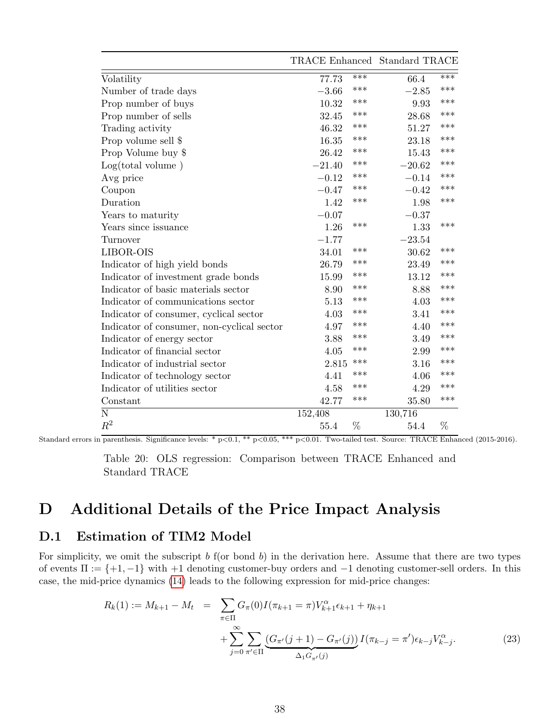<span id="page-37-0"></span>

|                                            | TRACE Enhanced Standard TRACE |     |          |       |
|--------------------------------------------|-------------------------------|-----|----------|-------|
| Volatility                                 | 77.73                         | *** | 66.4     | $***$ |
| Number of trade days                       | $-3.66$                       | *** | $-2.85$  | ***   |
| Prop number of buys                        | 10.32                         | *** | 9.93     | ***   |
| Prop number of sells                       | 32.45                         | *** | 28.68    | ***   |
| Trading activity                           | 46.32                         | *** | 51.27    | ***   |
| Prop volume sell \$                        | 16.35                         | *** | 23.18    | ***   |
| Prop Volume buy \$                         | 26.42                         | *** | 15.43    | ***   |
| Log(total volume)                          | $-21.40$                      | *** | $-20.62$ | ***   |
| Avg price                                  | $-0.12$                       | *** | $-0.14$  | ***   |
| Coupon                                     | $-0.47$                       | *** | $-0.42$  | ***   |
| Duration                                   | 1.42                          | *** | 1.98     | ***   |
| Years to maturity                          | $-0.07$                       |     | $-0.37$  |       |
| Years since issuance                       | 1.26                          | *** | 1.33     | ***   |
| Turnover                                   | $-1.77$                       |     | $-23.54$ |       |
| LIBOR-OIS                                  | 34.01                         | *** | 30.62    | ***   |
| Indicator of high yield bonds              | 26.79                         | *** | 23.49    | ***   |
| Indicator of investment grade bonds        | 15.99                         | *** | 13.12    | ***   |
| Indicator of basic materials sector        | 8.90                          | *** | 8.88     | ***   |
| Indicator of communications sector         | 5.13                          | *** | 4.03     | ***   |
| Indicator of consumer, cyclical sector     | 4.03                          | *** | 3.41     | ***   |
| Indicator of consumer, non-cyclical sector | 4.97                          | *** | 4.40     | ***   |
| Indicator of energy sector                 | 3.88                          | *** | 3.49     | ***   |
| Indicator of financial sector              | 4.05                          | *** | 2.99     | ***   |
| Indicator of industrial sector             | 2.815                         | *** | 3.16     | ***   |
| Indicator of technology sector             | 4.41                          | *** | 4.06     | ***   |
| Indicator of utilities sector              | 4.58                          | *** | 4.29     | ***   |
| Constant                                   | 42.77                         | *** | 35.80    | ***   |
| N                                          | 152,408                       |     | 130,716  |       |
| $R^2$                                      | 55.4                          | %   | 54.4     | %     |

Table 20: OLS regression: Comparison between TRACE Enhanced and Standard TRACE

# D Additional Details of the Price Impact Analysis

### <span id="page-37-1"></span>D.1 Estimation of TIM2 Model

For simplicity, we omit the subscript  $b$  f(or bond  $b$ ) in the derivation here. Assume that there are two types of events  $\Pi := \{+1, -1\}$  with  $+1$  denoting customer-buy orders and  $-1$  denoting customer-sell orders. In this case, the mid-price dynamics [\(14\)](#page-17-1) leads to the following expression for mid-price changes:

$$
R_k(1) := M_{k+1} - M_t = \sum_{\pi \in \Pi} G_{\pi}(0) I(\pi_{k+1} = \pi) V_{k+1}^{\alpha} \epsilon_{k+1} + \eta_{k+1}
$$
  
+ 
$$
\sum_{j=0}^{\infty} \sum_{\pi' \in \Pi} \underbrace{(G_{\pi'}(j+1) - G_{\pi'}(j))}_{\Delta_1 G_{\pi'}(j)} I(\pi_{k-j} = \pi') \epsilon_{k-j} V_{k-j}^{\alpha}.
$$
 (23)